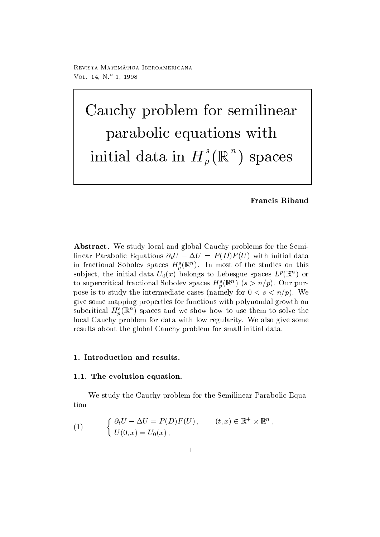Revista Matematica - Iberoamericana VOL  $14, N^{\circ}$  1, 1998

Cauchy problem for semilinear parabolic equations with initial data in  $H_p^{\circ}(\mathbb{R}^n)$  space <sup>n</sup>  $s = s$  set  $s = s$  set  $s = s$  . The set of  $s = s$ 

Francis Ribaud

abstractive in the study local and global Cauchy problems for the Semilinear Parabolic Equations  $\partial_t U - \Delta U = P(D)F(U)$  with initial data in fractional Sobolev spaces  $H_{\eta}^{\ast}(\mathbb{R}^{n})$ . In most of the studies on this subject, the initial data  $U_0(x)$  belongs to Lebesgue spaces  $L^p(\mathbb{R}^-)$  or to supercritical fractional Sobolev spaces  $H_n(\mathbb{R})$  ( $s > n/p$ ). Our purpose is to study the intermediate cases (namely for  $0 < s < n/p$ ). We give some mapping properties for functions with polynomial growth on subcritical  $H_n(\mathbb{R})$  spaces and we show how to use them to solve the local Cauchy problem for data with low regularity. We also give some results about the global Cauchy problem for small initial data

#### -- The evolution equation-

We study the Cauchy problem for the Semilinear Parabolic Equation

(1) 
$$
\begin{cases} \partial_t U - \Delta U = P(D)F(U), & (t, x) \in \mathbb{R}^+ \times \mathbb{R}^n, \\ U(0, x) = U_0(x), \end{cases}
$$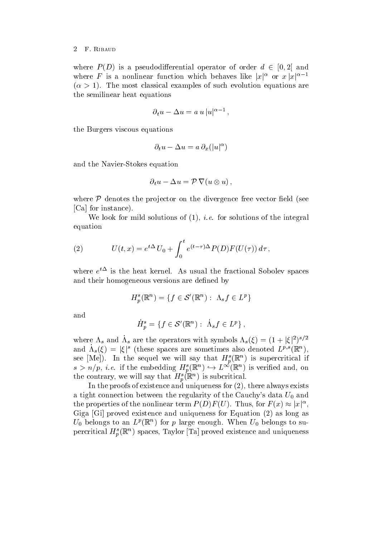#### F. RIBAUD  $\overline{2}$

where  $P(D)$  is a pseudodifferential operator of order  $d \in [0,2]$  and where F is a nonlinear function which behaves like  $|x|^{\alpha}$  or  $x |x|^{\alpha-1}$  - The most classical examples of such evolution equations are the semilinear heat equations

$$
\partial_t u - \Delta u = a u |u|^{\alpha - 1},
$$

the Burgers viscous equations

$$
\partial_t u - \Delta u = a \partial_x (|u|^\alpha)
$$

and the Navier-Stocker equation of the Navier-Stocker equation of the Navier-Stocker equation of the Navier-St

$$
\partial_t u - \Delta u = \mathcal{P} \nabla (u \otimes u) ,
$$

where  $P$  denotes the projector on the divergence free vector field (see [Ca] for instance).

we consider the integral solutions of  $\{f, g\}$  , we can define the integral solutions of the integral of the integral  $\{f, g\}$ equation

(2) 
$$
U(t,x) = e^{t\Delta} U_0 + \int_0^t e^{(t-\tau)\Delta} P(D) F(U(\tau)) d\tau,
$$

where e t is the heat kernel As usual the fractional Sobolev spaces and their homogeneous versions are defined by

$$
H_p^s(\mathbb{R}^n) = \{ f \in \mathcal{S}'(\mathbb{R}^n) : \ \Lambda_s f \in L^p \}
$$

and

$$
\dot{H}_p^s = \{ f \in \mathcal{S}'(\mathbb{R}^n) : \ \dot{\Lambda}_s f \in L^p \},
$$

where  $\Lambda_s$  and  $\Lambda_s$  are the operators with symbols  $\Lambda_s(\xi) = (1 + |\xi|^2)^{s/2}$ and  $\Lambda_s(\xi) = |\xi|^s$  (these spaces are sometimes also denoted  $L^{p,s}(\mathbb{R}^n)$ , see  $[\text{Me}]$ ). In the sequel we will say that  $H_p(\mathbb{R})$  is supercritical if  $s > n/p$ , i.e. if the embedding  $H^s_p(\mathbb{R}^n) \hookrightarrow L^{\infty}(\mathbb{R}^n)$  is verified and, on the contrary, we will say that  $H_p(\mathbb{R}^n)$  is subcritical.

In the proofs of existence and uniqueness for  $(2)$ , there always exists a tight connection between the regularity of the Cauchy's data  $U_0$  and the properties of the nonlinear term  $P(D)F(U)$ . Thus, for  $F(x) \approx |x|^{\alpha}$ , Giga [Gi] proved existence and uniqueness for Equation (2) as long as  $U_0$  belongs to an  $L^r(\mathbb{R}^+)$  for  $p$  large enough. When  $U_0$  belongs to supercritical  $H_{\eta}^{\ast}(\mathbb{R}^{n})$  spaces, Taylor [Ta] proved existence and uniqueness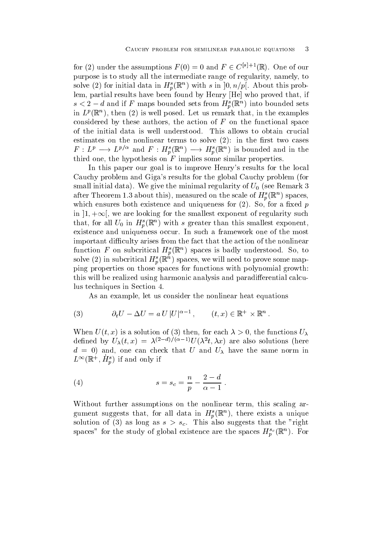for (2) under the assumptions  $F(0) = 0$  and  $F \in C^{\lfloor \phi_1 + 1 \rfloor}(\mathbb{R})$ . One of our purpose is to study all the intermediate range of regularity, namely, to solve (2) for initial data in  $\bm{\pi}_p(\mathbb{R}_+)$  with s in  $[0,n/p]$ . About this problem, partial results have been found by Henry [He] who proved that, if  $s < 2-a$  and if F maps bounded sets from  $\pi_{p}(\mathbb{R}^{n})$  into bounded sets in  $L^p(\mathbb{R}^+)$ , then  $(Z)$  is well posed. Let us remark that, in the examples considered by these authors, the action of  $F$  on the functional space of the initial data is well understood This allows to obtain crucial estimates on the nonlinear terms to solve  $(2)$ : in the first two cases  $F: L^p \longrightarrow L^{p/\alpha}$  and  $F: H^s_p(\mathbb{R}^n) \longrightarrow H^s_p(\mathbb{R}^n)$  is bounded and in the third one, the hypothesis on  $\overline{F}$  implies some similar properties.

In this paper our goal is to improve Henry's results for the local Cauchy problem and Giga's results for the global Cauchy problem (for small initial data). We give the minimal regularity of  $U_0$  (see Remark 3 after Theorem 1.5 about this), measured on the scale of  $H_p(\mathbb{R})$  spaces, which ensures both existence and uniqueness for  $(2)$ . So, for a fixed p in  $|1, +\infty|$ , we are looking for the smallest exponent of regularity such that, for all  $U_0$  in  $H_p(\mathbb{R})$  with s greater than this smallest exponent, existence and uniqueness occur. In such a framework one of the most important difficulty arises from the fact that the action of the nonlinear function F on subcritical  $H_p(\mathbb{R})$  spaces is badly understood. So, to solve (2) in subcritical  $\bm{\pi}_p$  ( $\bm{\kappa}_p$  ) spaces, we will need to prove some mapping properties on those spaces for functions with polynomial growth this will be realized using harmonic analysis and paradifferential calculus techniques in Section

As an example, let us consider the nonlinear heat equations

(3) 
$$
\partial_t U - \Delta U = a U |U|^{\alpha - 1}, \qquad (t, x) \in \mathbb{R}^+ \times \mathbb{R}^n.
$$

when  $\alpha$  is a solution of  $\alpha$  is a solution of  $\alpha$  is a solution of  $\alpha$  is a solution of  $\alpha$ defined by  $U_{\lambda}(t, x) = \lambda^{(1-\alpha)/(\alpha-\beta)} U(\lambda^{\alpha}t, \lambda x)$  are also solutions (here  $d = 0$  and, one can check that U and U<sub> $\lambda$ </sub> have the same norm in  $L^{\infty}(\mathbb{R}^+, H_n^-)$  if and only if

(4) 
$$
s = s_c = \frac{n}{p} - \frac{2-d}{\alpha - 1}.
$$

Without further assumptions on the nonlinear term, this scaling argument suggests that, for all data in  $H_{\tilde{n}}(\mathbb{K}^+)$ , there exists a unique solution of  $\{a_i\}$  and the right suggests that the right that the rights that the rights of the rights of the rights of the rights of the rights of the rights of the rights of the rights of the rights of the rights of th spaces for the study of global existence are the spaces  $H_p^{(0)}(\mathbb{R}^n)$ . For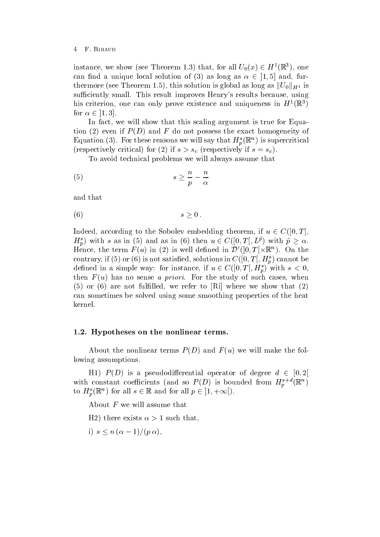instance, we show (see Theorem 1.3) that, for all  $U_0(x) \in H^1(\mathbb{R}^3)$ , one can find a unique local solution of (3) as long as  $\alpha \in [1, 5]$  and, furthermore (see Theorem 1.5), this solution is global as long as  $\|U_0\|_{H^1}$  is sufficiently small. This result improves Henry's results because, using  $\min$  criterion, one can only prove existence and uniqueness in  $H^-(\mathbb{R}^+)$ for  $\alpha \in [1,3].$ 

In fact, we will show that this scaling argument is true for Equation (2) even if  $P(D)$  and F do not possess the exact homogeneity of Equation (5). For these reasons we will say that  $H_p^{\sigma}(\mathbb{R}^n)$  is supercritical  $\mathcal{N}$  if s-corresponding to the form of the corresponding to the corresponding to the corresponding to the corresponding to the corresponding to the corresponding to the corresponding to the corresponding to the corres

To avoid technical problems we will always assume that

$$
(5) \t\t s \ge \frac{n}{p} - \frac{n}{\alpha}
$$

and that

$$
(6) \t\t s \geq 0.
$$

Indeed, according to the Sobolev embedding theorem, if  $u \in C([0,T],$  $H_p^s$ ) with s as in (5) and as in (6) then  $u \in C([0,T], L^p)$  with  $\tilde{p} \geq \alpha$ . Hence, the term  $F(u)$  in (2) is well defined in  $\mathcal{D}'(|0,T|\times\mathbb{R}^n)$ . On the contrary, if (5) or (6) is not satisfied, solutions in  $C([0, T], H_p^s)$  cannot be defined in a simple way: for instance, if  $u \in C([0,T[, H_n^s)$  with  $s < 0$ , then  $F(u)$  has no sense a priori. For the study of such cases, when  $(5)$  or  $(6)$  are not fulfilled, we refer to [Ri] where we show that  $(2)$ can sometimes be solved using some smoothing properties of the heat kernel

# $\mathcal{H}$  . Hypotheses on the nonlinear terms-

About the nonlinear terms  $P(D)$  and  $F(u)$  we will make the following assumptions

H1)  $P(D)$  is a pseudodifferential operator of degree  $d \in [0,2]$ with constant coefficients (and so  $P(D)$  is bounded from  $H_p^{s,+}(\mathbb{R}^n)$ to  $H_n^s(\mathbb{R}^n)$  for all  $s \in \mathbb{R}$  and for all  $p \in [1, +\infty])$ .

About  $F$  we will assume that

 $\mathbf{f}$  there exists - that there exists - that there exists - that there exists - that the exists is not the exists in the exists in the exists in the exists in the exists in the exists in the exists in the exists i

i)  $s \leq n (\alpha - 1) / (p \alpha)$ ,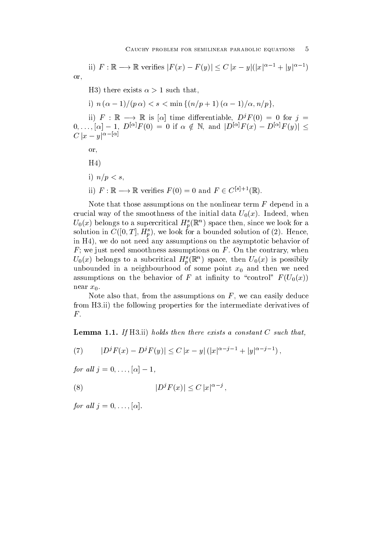ii)  $F: \mathbb{R} \longrightarrow \mathbb{R}$  verifies  $|F(x) - F(y)| \leq C |x - y|(|x|^{\alpha-1} + |y|^{\alpha-1})$ or

 $\mathbf{f}$  there exists - that there exists - that there exists - that there exists - that there exists - that that the exists in the exists in the exists in the exists in the exists in the exists in the exists in the

i)  $n (\alpha - 1)/(p \alpha) < s < \min \{(n/p + 1) (\alpha - 1)/\alpha, n/p\},\$ 

ii)  $F : \mathbb{R} \longrightarrow \mathbb{R}$  is  $[\alpha]$  time differentiable,  $D^{j}F(0) = 0$  for  $j =$  $[0, \ldots, [\alpha] - 1, D^{\alpha]F(0)} = 0$  if  $\alpha \notin \mathbb{N}$ , and  $|D^{\alpha]F(x)} - D^{\alpha|F(y)} \leq$  $C |x-y|^{\alpha-|\alpha|}$ 

or

 $H<sub>4</sub>$ 

- i)  $n/p < s$ .
- 11)  $F: \mathbb{K} \longrightarrow \mathbb{K}$  verifies  $F(0) = 0$  and  $F \in C^{\lfloor s \rfloor + 1}(\mathbb{K})$ .

Note that those assumptions on the nonlinear term  $F$  depend in a crucial way of the smoothness of the initial data  $U_0(x)$ . Indeed, when  $U_0(x)$  belongs to a supercritical  $H_p(\mathbb{R})$  space then, since we look for a solution in  $C([0, T], H_p^s)$ , we look for a bounded solution of (2). Hence, in H<sub>4</sub>), we do not need any assumptions on the asymptotic behavior of  $F$ ; we just need smoothness assumptions on  $F$ . On the contrary, when  $U_0(x)$  belongs to a subcritical  $H_p(\mathbb{R})$  space, then  $U_0(x)$  is possibily unbounded in a neighbourhood of some point  $x_0$  and then we need assumptions on the behavior of F at infinity to "control"  $F(U_0(x))$ near  $x_0$ .

Note also that, from the assumptions on  $F$ , we can easily deduce from H3.ii) the following properties for the intermediate derivatives of  $F$ .

Lemma -- If Hii holds then there exists a constant C such that

(7) 
$$
|D^{j} F(x) - D^{j} F(y)| \leq C |x - y| (|x|^{\alpha - j - 1} + |y|^{\alpha - j - 1}),
$$

for an  $j = 0, \ldots, |\alpha| = 1$ ,

$$
(8) \t\t |DjF(x)| \leq C |x|^{\alpha - j},
$$

 $\mathbf{f}$  , and all  $\mathbf{f}$  and all  $\mathbf{f}$  and all  $\mathbf{f}$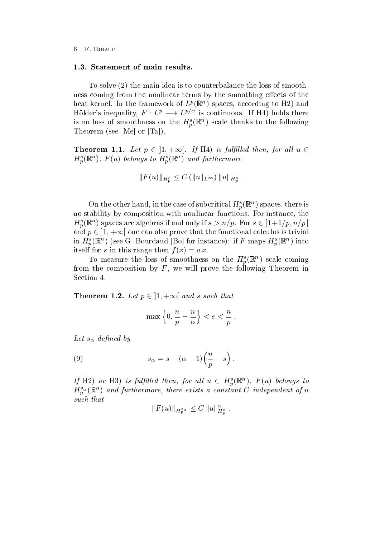To solve (2) the main idea is to counterbalance the loss of smoothness coming from the nonlinear terms by the smoothing effects of the heat kernel. In the framework of  $L^p(\mathbb{R}^+)$  spaces, according to  $\Pi Z$  and Holder's inequality,  $F : L^p \longrightarrow L^{p/\alpha}$  is continuous. If H4) holds there is no loss of smoothness on the  $H_p(\mathbb{R})$  scale thanks to the following Theorem (see [Me] or  $Ta$ ]).

**Theorem 1.1.** Let  $p \in [1, +\infty]$ . If H4) is fulfilled then, for all  $u \in$  $H_p(\mathbb{R})$  ,  $F(u)$  belongs to  $H_p(\mathbb{R})$  and furthermore

$$
||F(u)||_{H^s_n} \leq C (||u||_{L^{\infty}}) ||u||_{H^s_n}.
$$

On the other hand, in the case of subcritical  $H_p^{\bullet}(\mathbb{R}^n)$  spaces, there is no stability by composition with nonlinear functions. For instance, the  $H_p^s(\mathbb{R}^n)$  spaces are algebras if and only if  $s > n/p$ . For  $s \in [1+1/p, n/p]$ and  $p \in [1, +\infty]$  one can also prove that the functional calculus is trivial in  $H_{\eta}(\mathbb{R}^n)$  (see G. Dourdaud [Do] for instance): if F maps  $H_{\eta}(\mathbb{R}^n)$  into itself for s in this range then  $f(x) = a x$ .

To measure the loss of smoothness on the  $H_p(\mathbb{R})$  scale coming from the composition by  $F$ , we will prove the following Theorem in Section 4.

Theorem 1.2. Let  $p \in [1, +\infty]$  and s such that

$$
\max\left\{0,\frac{n}{p}-\frac{n}{\alpha}\right\} < s < \frac{n}{p} \; .
$$

 $-$  -  $\alpha$  -  $\beta$  -  $\beta$ 

(9) 
$$
s_{\alpha} = s - (\alpha - 1) \left(\frac{n}{p} - s\right).
$$

If H2) or H3) is fulfilled then, for all  $u \in H_p^s(\mathbb{R}^n)$ ,  $F(u)$  belongs to  $H_p^{\alpha}(\mathbb{R})$  and furthermore, there exists a constant  $C$  independent of  $u$ such that

$$
||F(u)||_{H_p^{s_\alpha}} \leq C ||u||_{H_n^{s}}^{\alpha}.
$$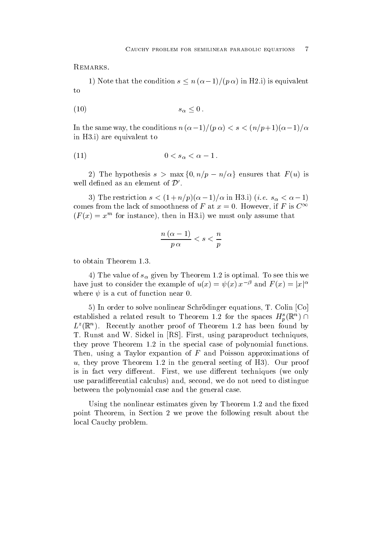REMARKS.

1) Note that the condition  $s \leq n (\alpha - 1)/(\rho \alpha)$  in H2.i) is equivalent to

$$
(10) \t\t s_{\alpha} \leq 0.
$$

In the same way, the conditions  $n_{\rm B}(\alpha=1)/(\beta\alpha)<\delta\leq (n/\beta+1)(\alpha=1)/\alpha$ in  $H3.i$  are equivalent to

$$
(11) \t\t\t 0 < s_{\alpha} < \alpha - 1.
$$

2) The hypothesis  $s > \max\{0, n/p - n/\alpha\}$  ensures that  $F(u)$  is well defined as an element of  $\mathcal{D}'$ .

 $\sigma$ ) The restriction  $s \leq (1 \pm n/p)(\alpha - 1)/\alpha$  in Ho.1) (*i.e.*  $s_{\alpha} \leq \alpha - 1$ ) comes from the lack of smoothness of F at  $x = 0$ . However, if F is  $C^{\infty}$  $F(x) = x^{\dots}$  for instance), then in H<sub>2</sub>.1) we must only assume that

$$
\frac{n\left(\alpha-1\right)}{p\,\alpha}
$$

 $\mathcal{I}$  and  $\mathcal{I}$  and  $\mathcal{I}$  are much by Theorem by Theorem is optimal To see this weight  $\mathcal{I}$ have just to consider the example of  $u(x) = \psi(x) x^{-\beta}$  and  $F(x) = |x|^{\alpha}$ where  $\psi$  is a cut of function near 0.

 $5)$  In order to solve nonlinear Schrödinger equations, T. Colin  $\lbrack Co \rbrack$ established a related result to Theorem 1.2 for the spaces  $H_n^s(\mathbb{R}^n) \cap$  $L^{\infty}(\mathbb{R}^n)$ . Recently another proof of Theorem 1.2 has been found by T. Runst and W. Sickel in [RS]. First, using paraproduct techniques, .... prove Theorem In the special functions of polynomial functions  $\mathcal{L}$ Then, using a Taylor expantion of  $F$  and Poisson approximations of under the general seeting of the general seeting of H Our prove Theorem in the general seedies are proved by the is in fact very different. First, we use different techniques (we only use paradifferential calculus) and, second, we do not need to distingue between the polynomial case and the general case

Using the nonlinear estimates given by Theorem and the xed point Theorem, in Section 2 we prove the following result about the local Cauchy problem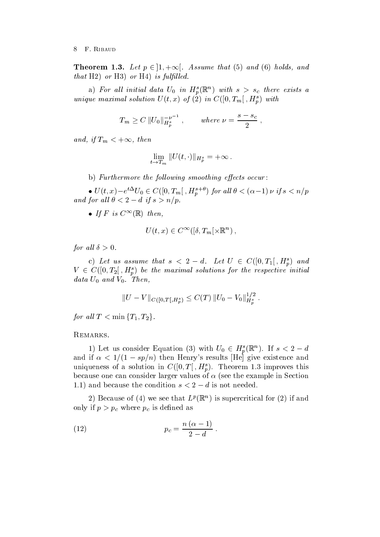**Theorem 1.3.** Let  $p \in [1, +\infty]$ . Assume that (5) and (6) holds, and that H2) or H3) or H4) is fulfilled.

a) for an initial data  $U_0$  in  $\mathbf{H}_p(\mathbb{R})$  with  $s > s_c$  there exists a unique maximal solution  $U(t, x)$  of  $(z)$  in  $U([0, I_m], H_p)$  with

$$
T_m \ge C ||U_0||_{H_p^s}^{-\nu^{-1}}
$$
, where  $\nu = \frac{s - s_c}{2}$ ,

and, if  $T_m < +\infty$ , then

$$
\lim_{t \to T_m} ||U(t, \cdot)||_{H_p^s} = +\infty.
$$

b) Furthermore the following smoothing effects occur:

 $\bullet$   $U(t, x) - e^{t \Delta} U_0 \in C([0, T_m], H^{s+\nu}_p)$  for all  $\theta < (\alpha - 1) \nu$  if  $s < n/p$ and for an  $0 < 2 - a$  if  $s > n/p$ .

 $\bullet$  If  $I^s$  is  $C^{\infty}(\mathbb{R})$  then.

$$
U(t, x) \in C^{\infty}([\delta, T_m[\times \mathbb{R}^n)],
$$

 $\overline{a}$  , and a set  $\overline{a}$  , and a set  $\overline{a}$ 

c) Let us assume that  $s < 2-d$ . Let  $U \in C([0,T_1], H_p^s)$  and  $V \in C([0,T_2], H_p^s)$  be the maximal solutions for the respective initial data U and V and V and V and V and V and V and V and V and V and V and V and V and V and V and V and V and V and V and V and V and V and V and V and V and V and V and V and V and V and V and V and V and V and V and V and

$$
||U - V||_{C([0,T[, H_p^s)} \leq C(T) ||U_0 - V_0||_{H_p^s}^{1/2}.
$$

for all  $T < \min \{T_1, T_2\}$ .

REMARKS.

1) Let us consider Equation (3) with  $U_0 \in H_n^s(\mathbb{R}^n)$ . If  $s < 2-d$ and if  $\alpha \leq 1/(1 - s p/n)$  then from y streams the give existence and uniqueness of a solution in  $C([0, T], H_p)$ . Theorem 1.5 improves this because one can consider larger values of  $\alpha$  (see the example in Section 1.1) and because the condition  $s \leq 2 - a$  is not needed.

 $\Delta$ ) decause of (4) we see that  $L^r$  (K) is supercritical for (2) if and only if  $p$  is denoted as a pc is denoted as  $p$  is denoted as a pc is denoted as  $p$ 

$$
(12) \t\t\t p_c = \frac{n(\alpha - 1)}{2 - d}.
$$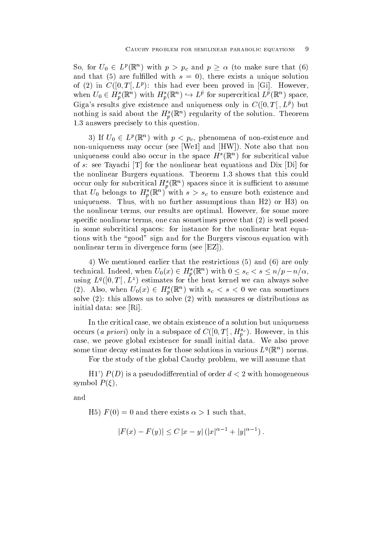So, for  $U_0 \in L^p(\mathbb{R}^n)$  with  $p > p_c$  and  $p \ge \alpha$  (to make sure that (6) and that (5) are fulfilled with  $s = 0$ ), there exists a unique solution of (2) in  $C([0,T], L^r)$ ; this had ever been proved in [Gi]. However, when  $U_0 \in H_p^s(\mathbb{R}^n)$  with  $H_p^s(\mathbb{R}^n) \hookrightarrow L^p$  for supercritical  $L^p(\mathbb{R}^n)$  space, Giga s results give existence and uniqueness only in  $C([0,1], L^c)$  but nothing is said about the  $H_p^*(\mathbb{R}^n)$  regularity of the solution. Theorem answers to the precisely to the second operations of the second second second to the second second second second second second second second second second second second second second second second second second second seco

3) If  $U_0 \in L^p(\mathbb{R}^n)$  with  $p < p_c$ , phenomena of non-existence and non-uniqueness may occur see We and HW Note also that non uniqueness could also occur in the space  $H^*(\mathbb{R}^+)$  for subcritical value of  $s$ : see Tayachi  $[T]$  for the nonlinear heat equations and Dix  $[Di]$  for the nonlinear Burgers equations Theorem shows that this could occur omy for subcritical  $H_p(\mathbb{R})$  spaces since it is sumclent to assume that  $U_0$  belongs to  $H_p^{\bullet}(\mathbb{R}^n)$  with  $s > s_c$  to ensure both existence and uniqueness. Thus, with no further assumptions than  $H2$  or  $H3$  on the nonlinear terms, our results are optimal. However, for some more specific nonlinear terms, one can sometimes prove that  $(2)$  is well posed in some subcritical spaces: for instance for the nonlinear heat equations with the "good" sign and for the Burgers viscous equation with nonlinear term in divergence form (see  $[EZ]$ ).

4) We mentioned earlier that the restrictions  $(5)$  and  $(6)$  are only technical. Indeed, when  $U_0(x) \in H^s_p(\mathbb{R}^n)$  with  $0 \leq s_c < s \leq n/p - n/\alpha$ , using  $L^q([0,T], L^z)$  estimates for the heat kernel we can always solve (2). Also, when  $U_0(x) \in H_p^s(\mathbb{R}^n)$  with  $s_c < s < 0$  we can sometimes solve  $(2)$ : this allows us to solve  $(2)$  with measures or distributions as initial data: see [Ri].

In the critical case, we obtain existence of a solution but uniqueness occurs (*a priori*) only in a subspace of  $C([0, T], H_p^{\infty})$ . However, in this case, we prove global existence for small initial data. We also prove some time decay estimates for those solutions in various  $L^q(\mathbb{R}^+)$  norms.

For the study of the global Cauchy problem, we will assume that

H P D is a pseudodierential of order d with homogeneous symbol  $P(\xi)$ ,

and

 $\mathcal{L} = \{ \mathcal{L} \mid \mathcal{L} = \mathcal{L} \}$  . There exists is the such that  $\mathcal{L} = \mathcal{L}$ 

$$
|F(x) - F(y)| \le C |x - y| (|x|^{\alpha - 1} + |y|^{\alpha - 1}).
$$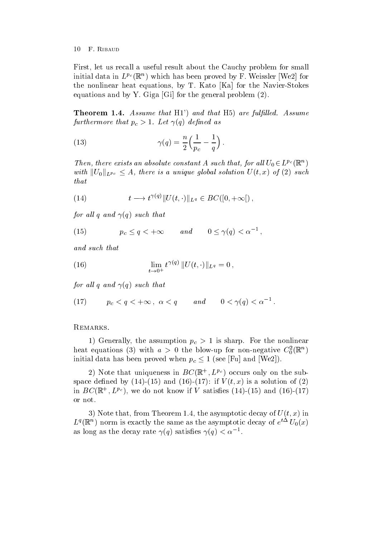First, let us recall a useful result about the Cauchy problem for small initial data in  $L^{p_c}(\mathbb{R}^n)$  which has been proved by  ${\bf r}$  . Weissler (Wez) for the nonlinear heat equations by T Kato Ka for the Navier-Stokes equations and by Y. Giga  $[G_i]$  for the general problem  $(2)$ .

Theorem - Assume that H are full led-to-that H are full led-to-that H are full led-to-that H are full led-to-that H furthermore that problems are the set of  $\mathcal{L}$  as a set of  $\mathcal{L}$  as a set of  $\mathcal{L}$  as a set of  $\mathcal{L}$ 

(13) 
$$
\gamma(q) = \frac{n}{2} \left( \frac{1}{p_c} - \frac{1}{q} \right).
$$

Then, there exists an absolute constant A such that, for all  $U_0 \in L^{p_c}(\mathbb{R}^n)$ with  $||U_0||_{L^{p_c}} \leq A$ , there is a unique global solution  $U(t, x)$  of (2) such that

(14) 
$$
t \longrightarrow t^{\gamma(q)} \|U(t,\cdot)\|_{L^q} \in BC([0,+\infty[),
$$

for all q and  $\gamma(q)$  such that

(15) 
$$
p_c \le q < +\infty
$$
 and  $0 \le \gamma(q) < \alpha^{-1}$ ,

and such that

(16) 
$$
\lim_{t \to 0^+} t^{\gamma(q)} \| U(t, \cdot) \|_{L^q} = 0,
$$

for all q and  $\gamma(q)$  such that

$$
(17) \t p_c < q < +\infty, \ \alpha < q \quad and \quad 0 < \gamma(q) < \alpha^{-1}.
$$

# REMARKS.

 $\mathcal{L}$  for the assumption property for the non-linear points of the non-linear points  $\mathcal{L}$ heat equations (3) with  $a > 0$  the blow-up for non-negative  $C_0^-(\mathbb{R}^+)$ initial data has been proved when  $p_c \leq 1$  (see |Fu| and |We2|).

 $\Delta$ ) in ote that uniqueness in  $D\cup(\mathbb{R}^+, L^{p\infty})$  occurs only on the subspace density of the contract of the contract of the contract of the contract of the contract of the contract of the contract of the contract of the contract of the contract of the contract of the contract of the contract in  $BC(\mathbb{R}^+, L^{Fc})$ , we do not know if V satisfies (14)–(19) and (10)–(17) or not

, we assume that the asymptotic decay of  $\alpha$  is asymptotic decay of  $\alpha$  in  $\beta$  in  $\beta$  $L^2(\mathbb{R})$  form is exactly the same as the asymptotic decay of  $e = U_0(x)$ as long as the decay rate  $\gamma(q)$  satisfies  $\gamma(q) \leq \alpha$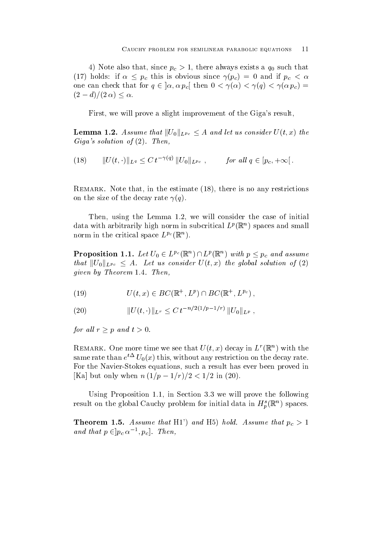$\mathcal{N}$  and since proposed with the since  $\mathcal{N}$ (17) holds: if  $\alpha \leq p_c$  this is obvious since  $\gamma(p_c) = 0$  and if  $p_c < \alpha$ one can check that for  $q \in [\alpha, \alpha \ p_c]$  then  $0 < \gamma(\alpha) < \gamma(q) < \gamma(\alpha \ p_c) =$  $(2-d)/(2\alpha) < \alpha$ .

First, we will prove a slight improvement of the Giga's result.

**Lemma 1.2.** Assume that  $||U_0||_{L^{p_c}} \leq A$  and let us consider  $U(t, x)$  the Gigas solution of - Then

(18) 
$$
||U(t, \cdot)||_{L^q} \leq C t^{-\gamma(q)} ||U_0||_{L^{p_c}}, \quad \text{for all } q \in [p_c, +\infty].
$$

Remark- Note that in the estimate there is no any restrictions on the size of the decay rate  $\gamma(q)$ .

 $T$  in  $\mathcal{L}$  and  $\mathcal{L}$  initial consider the case of initial consider the case of initial consider the case of initial consider the case of initial consider the case of initial consider the case of initial consider t data with arbitrarily high norm in subcritical  $L^p(\mathbb{R}^+)$  spaces and small norm in the critical space  $L^{p\text{-}}(\mathbb{R}^+)$ .

**Proposition 1.1.** Let  $U_0 \in L^{p_c}(\mathbb{R}^n) \cap L^p(\mathbb{R}^n)$  with  $p \leq p_c$  and assume that  $||U_0||_{L^{p_c}} \leq A$ . Let us consider  $U(t,x)$  the global solution of  $(2)$ give the complete the state of the complete the complete the complete theorem is the complete the complete tha

$$
(19) \tU(t,x) \in BC(\mathbb{R}^+, L^p) \cap BC(\mathbb{R}^+, L^{p_c}),
$$

(20) 
$$
||U(t, \cdot)||_{L^r} \leq C \, t^{-n/2(1/p-1/r)} \, ||U_0||_{L^p} \, ,
$$

for all  $r \geq p$  and  $t > 0$ .

**REMARK.** One more time we see that  $U(t, x)$  decay in  $L \llbracket \mathbf{R} \rrbracket$  with the same rate than  $e = U_0(x)$  this, without any restriction on the decay rate. For the Navier-Stokes equations such a result has ever been proved in  $\max_{i=1}^{\infty}$  but only when  $n+1/p = 1/(1/2) \leq 1/2$  in  $(20)$ .

Using Proposition in Section we will prove the following result on the global Cauchy problem for initial data in  $H_{\eta}^{\ast}(\mathbb{R}^n)$  spaces.

Theorem -- Assume that H and H hold- Assume that pc and that  $p \in |p_c \alpha^{-1}, p_c|$ . Then,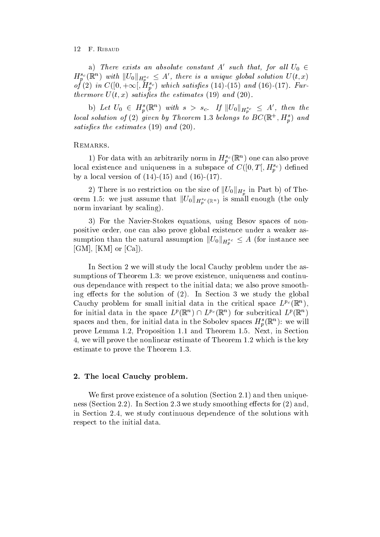a) There exists an absolute constant A' such that, for all  $U_0$   $\in$  $H_p^{s_c}(\mathbb R^n)$  with  $||U_0||_{H_p^{s_c}} \leq A'$ , there is a unique global solution  $U(t,x)$ of (2) in  $C([0, +\infty], H^{n^c}_{n})$  which satisfies (14)-(15) and (16)-(17). Fur- $\blacksquare$  . There is the estimates the estimates the estimates the estimates the estimates of  $\blacksquare$ 

b) Let  $U_0 \in H_p^s(\mathbb{R}^n)$  with  $s > s_c$ . If  $||U_0||_{H_p^{s_c}} \leq A'$ , then the tocal solution of (2) given by Theorem 1.5 belongs to  $D\text{C}(\mathbb{R}^+, H_n)$  and satisfies the estimates of the estimates of the estimates  $\mathbf{A}$  and  $\mathbf{A}$  and  $\mathbf{A}$  and  $\mathbf{A}$ 

### REMARKS.

T) For data with an arbitrarily norm in  $H_{p}^{(0)}(\mathbb{R}^{n})$  one can also prove local existence and uniqueness in a subspace of  $C([0,1[, H_v^{-c})$  defined by a local version of - and -

2) There is no restriction on the size of  $||U_0||_{H_p^s}$  in Part b) of Theorem 1.5: we just assume that  $||U_0||_{H^{s_c}_p(\mathbb{R}^n)}$  is small enough (the only norm invariant by scaling).

 For the Navier-Stokes equations using Besov spaces of nonpositive order, one can also prove global existence under a weaker assumption than the natural assumption  $||U_0||_{H^{s_c}_{nc}} \leq A$  (for instance see [GM], [KM] or  $[Ca]$ ).

In Section 2 we will study the local Cauchy problem under the assumptions of Theorem III and continues and continues and continues and continues and continuous ous dependance with respect to the initial data; we also prove smoothing effects for the solution of  $(2)$ . In Section 3 we study the global Cauchy problem for small initial data in the critical space  $L^{p\text{-}}(\mathbb{R}^+)$ , for initial data in the space  $L^p(\mathbb{R}^n) \cap L^{p_c}(\mathbb{R}^n)$  for subcritical  $L^p(\mathbb{R}^n)$ spaces and then, for initial data in the Sobolev spaces  $\boldsymbol{H}_p(\mathbb{R})$ : we will prove Lemma and Theorem International Contract in Section 2, 200 percent in Section 2, 200 percent in Section 2 which is the nonlinear estimate of Theorem and Theorem is the key of Theorem and Theorem is the key of Theorem I estimate to prove the Theorem theorem and the Theorem

#### - The local Cauchy problem-

we restrict the solution of a solution  $\mathcal{S}$  solution Section Section Section Section Section Section Section Section Section Section Section Section Section Section Section Section Section Section Section Section Secti ness (Section 2.2). In Section 2.3 we study smoothing effects for  $(2)$  and, in Section 2.4, we study continuous dependence of the solutions with respect to the initial data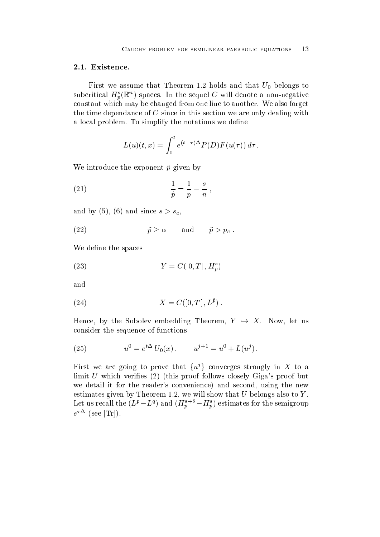$\mathbf{F}$  W  $\mathbf{F}$ subcritical  $H_p(\mathbb{R})$  spaces. In the sequel C will denote a non-negative constant which may be changed from one line to another. We also forget the time dependance of  $C$  since in this section we are only dealing with a local problem. To simplify the notations we define

$$
L(u)(t,x) = \int_0^t e^{(t-\tau)\Delta} P(D) F(u(\tau)) d\tau.
$$

We introduce the exponent  $\tilde{p}$  given by

(21) 
$$
\frac{1}{\tilde{p}} = \frac{1}{p} - \frac{s}{n},
$$

and by  $\alpha$  ,  $\alpha$  ,  $\alpha$  ,  $\alpha$  ,  $\alpha$  ,  $\alpha$  ,  $\alpha$  ,  $\alpha$  ,  $\alpha$  ,  $\alpha$  ,  $\alpha$  ,  $\alpha$  ,  $\alpha$  ,  $\alpha$  ,  $\alpha$  ,  $\alpha$  ,  $\alpha$  ,  $\alpha$  ,  $\alpha$  ,  $\alpha$  ,  $\alpha$  ,  $\alpha$  ,  $\alpha$  ,  $\alpha$  ,  $\alpha$  ,  $\alpha$  ,  $\alpha$  ,  $\alpha$  ,  $\alpha$  ,  $\alpha$  ,  $\alpha$ 

(22) 
$$
\tilde{p} \ge \alpha
$$
 and  $\tilde{p} > p_c$ .

We define the spaces

$$
(23) \t\t Y = C([0, T[, H_p^s])
$$

and

$$
(24) \t\t X = C([0, T[, L\tilde{p}) .
$$

Hence, by the Sobolev embedding Theorem,  $Y \hookrightarrow X$ . Now, let us consider the sequence of functions

(25) 
$$
u^{0} = e^{t\Delta} U_{0}(x), \qquad u^{j+1} = u^{0} + L(u^{j}).
$$

First we are going to prove that  $\{u^j\}$  converges strongly in X to a limit  $U$  which verifies  $(2)$  (this proof follows closely Giga's proof but we detail it for the reader's convenience) and second, using the new estimates given by Theorem  $\mathcal{M}$  and U belongs also to  $\mathcal{M}$  also to  $\mathcal{M}$ Let us recall the  $(L^2 - L^4)$  and  $(H_p^2 + H_p^2)$  estimates for the semigroup  $e =$  (see  $|\text{IT}|$ ).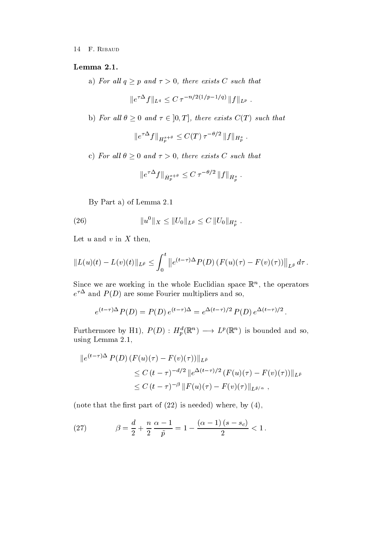a) For all  $q \geq p$  and  $\tau > 0$ , there exists C such that

$$
||e^{\tau \Delta} f||_{L^q} \leq C \tau^{-n/2(1/p-1/q)} ||f||_{L^p} .
$$

b) For all  $\theta \geq 0$  and  $\tau \in [0,T]$ , there exists  $C(T)$  such that

$$
||e^{\tau \Delta} f||_{H^{s+\theta}_p} \leq C(T) \,\tau^{-\theta/2} \, ||f||_{H^s_p} \; .
$$

c) For all  $\theta \geq 0$  and  $\tau > 0$ , there exists C such that

$$
\|e^{\tau\Delta}f\|_{\dot{H}_p^{s+\theta}}\leq C\,\tau^{-\theta/2}\,\|f\|_{\dot{H}_p^s}\,.
$$

By Part a) of Lemma  $2.1$ 

(26) 
$$
||u^0||_X \leq ||U_0||_{L^{\tilde{p}}} \leq C ||U_0||_{H^s_{p}}.
$$

Let  $u$  and  $v$  in  $X$  then,

$$
||L(u)(t) - L(v)(t)||_{L^{\tilde{p}}} \leq \int_0^t ||e^{(t-\tau)\Delta} P(D) (F(u)(\tau) - F(v)(\tau))||_{L^{\tilde{p}}} d\tau.
$$

Since we are working in the whole Euclidian space  $\mathbb{R}^n$ , the operators  $e^-$  and  $P(D)$  are some Fourier multipliers and so,

$$
e^{(t-\tau)\Delta}P(D) = P(D)e^{(t-\tau)\Delta} = e^{\Delta(t-\tau)/2}P(D)e^{\Delta(t-\tau)/2}
$$
.

Furthermore by H<sub>1</sub>),  $P(D): H_n^{\alpha}(\mathbb{R}^n) \longrightarrow L^p(\mathbb{R}^n)$  is bounded and so, using Lemma and Lemma and Lemma and Lemma and Lemma and Lemma and Lemma and Lemma and Lemma and Lemma and Lemm

$$
||e^{(t-\tau)\Delta} P(D) (F(u)(\tau) - F(v)(\tau))||_{L^{\tilde{p}}}
$$
  
\n
$$
\leq C (t - \tau)^{-d/2} ||e^{\Delta(t-\tau)/2} (F(u)(\tau) - F(v)(\tau))||_{L^{\tilde{p}}}
$$
  
\n
$$
\leq C (t - \tau)^{-\beta} ||F(u)(\tau) - F(v)(\tau)||_{L^{\tilde{p}/\alpha}},
$$

(note that the first part of  $(22)$  is needed) where, by  $(4)$ ,

(27) 
$$
\beta = \frac{d}{2} + \frac{n}{2} \frac{\alpha - 1}{\tilde{p}} = 1 - \frac{(\alpha - 1)(s - s_c)}{2} < 1.
$$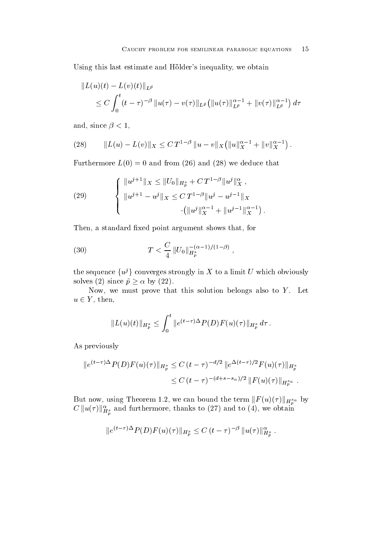Using this last estimate and Hölder's inequality, we obtain

$$
||L(u)(t) - L(v)(t)||_{L^{\tilde{p}}}\n\leq C \int_0^t (t-\tau)^{-\beta} ||u(\tau) - v(\tau)||_{L^{\tilde{p}}} (||u(\tau)||_{L^{\tilde{p}}}^{\alpha-1} + ||v(\tau)||_{L^{\tilde{p}}}^{\alpha-1}) d\tau
$$

and since the contract of the contract of the contract of the contract of the contract of the contract of the c

(28) 
$$
||L(u) - L(v)||_X \leq C T^{1-\beta} ||u - v||_X (||u||_X^{\alpha-1} + ||v||_X^{\alpha-1}).
$$

Furthermore  $L(0) = 0$  and from (26) and (28) we deduce that

(29) 
$$
\begin{cases} ||u^{j+1}||_X \leq ||U_0||_{H_p^s} + C T^{1-\beta} ||u^j||_X^{\alpha} , \\ ||u^{j+1} - u^j||_X \leq C T^{1-\beta} ||u^j - u^{j-1}||_X \\ \cdot (||u^j||_X^{\alpha-1} + ||u^{j-1}||_X^{\alpha-1} ). \end{cases}
$$

Then, a standard fixed point argument shows that, for

(30) 
$$
T < \frac{C}{4} ||U_0||_{H_p^s}^{-(\alpha - 1)/(1 - \beta)},
$$

the sequence  $\{u^j\}$  converges strongly in X to a limit U which obviously solves (2) since  $\tilde{p} \ge \alpha$  by (22).

Now, we must prove that this solution belongs also to  $Y$ . Let  $u \in Y$ , then,

$$
||L(u)(t)||_{H_p^s} \leq \int_0^t ||e^{(t-\tau)\Delta} P(D) F(u)(\tau)||_{H_p^s} d\tau.
$$

As previously

$$
||e^{(t-\tau)\Delta} P(D) F(u)(\tau)||_{H_p^s} \leq C (t-\tau)^{-d/2} ||e^{\Delta(t-\tau)/2} F(u)(\tau)||_{H_p^s}
$$
  

$$
\leq C (t-\tau)^{-(d+s-s_{\alpha})/2} ||F(u)(\tau)||_{H_p^s}.
$$

But now, using Theorem 1.2, we can bound the term  $||F(u)(\tau)||_{H^{s_\alpha}_p}$  by  $C \| u(\tau) \|_{H^s_p}^{\alpha}$  and furthermore, thanks to (27) and to (4), we obtain

$$
||e^{(t-\tau)\Delta} P(D) F(u)(\tau)||_{H^s_p} \leq C (t-\tau)^{-\beta} ||u(\tau)||_{H^s_p}^{\alpha}.
$$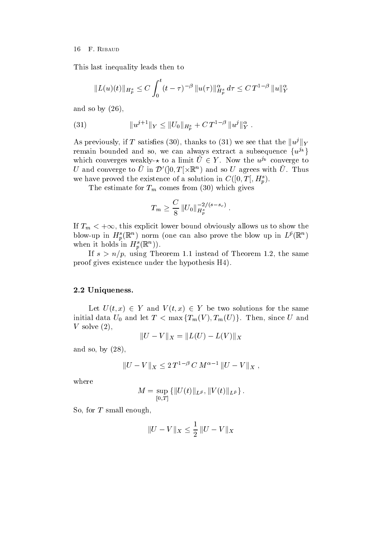This last inequality leads then to

$$
||L(u)(t)||_{H_p^s} \leq C \int_0^t (t-\tau)^{-\beta} ||u(\tau)||_{H_p^s}^{\alpha} d\tau \leq C T^{1-\beta} ||u||_Y^{\alpha}
$$

and so by  $(26)$ ,

(31) 
$$
||u^{j+1}||_Y \leq ||U_0||_{H_p^s} + C T^{1-\beta} ||u^j||_Y^{\alpha}.
$$

As previously, if T satisfies (30), thanks to (31) we see that the  $\|u^j\|_Y$ remain bounded and so, we can always extract a subsequence  $\{u^{j_k}\}\$ which converges weakly- $\star$  to a limit  $U \in Y$ . Now the  $u^{j k}$  converge to U and converge to U in  $\mathcal{D}'([0,T]\times\mathbb{R}^n)$  and so U agrees with U. Thus we have proved the existence of a solution in  $C([0, T], H_n^s)$ .

The estimate for  $T_m$  comes from  $(30)$  which gives

$$
T_m \geq \frac{C}{8} \, \|U_0\|_{H^{s}_p}^{-2/(s-s_c)} \; .
$$

If  $T_m < +\infty$ , this explicit lower bound obviously allows us to show the blow-up in  $H_p(\mathbb{R})$  horm (one can also prove the blow up in  $L^p(\mathbb{R})$ ) when it holds in  $H_p^-(\mathbb{R}^n)$ .

instead of the same of the same of Theorem Instead of Theorem Instead of Theorem Instead of Theorem Instead of proof gives existence under the hypothesis H

# - Uniqueness-Uniqueness-Uniqueness-Uniqueness-Uniqueness-Uniqueness-Uniqueness-Uniqueness-Uniqueness-Uniquenes

Let  $U(t, x) \in Y$  and  $V(t, x) \in Y$  be two solutions for the same initial data  $U_0$  and let  $T < \max\{T_m(V), T_m(U)\}\$ . Then, since U and V solve  $(2)$ ,

$$
||U - V||_X = ||L(U) - L(V)||_X
$$

and so, by  $(28)$ ,

$$
||U - V||X \le 2 T1-\beta C M\alpha-1 ||U - V||X,
$$

where

$$
M=\sup_{[0,T]}\{\|U(t)\|_{L^{\tilde{p}}},\|V(t)\|_{L^{\tilde{p}}}\}\ .
$$

So, for  $T$  small enough,

$$
||U - V||_X \le \frac{1}{2} ||U - V||_X
$$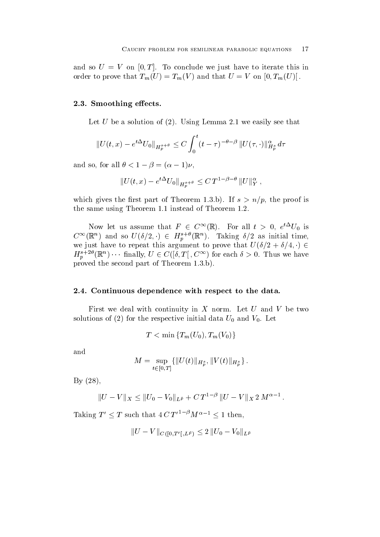and so  $U = V$  on  $[0, T]$ . To conclude we just have to iterate this in order to prove that  $T_m(U) = T_m(V)$  and that  $U = V$  on  $[0, T_m(U)]$ .

#### -- Smoothing eects-

Let U be a solution of Using Lemma we easily see that

$$
||U(t,x) - e^{t\Delta}U_0||_{H_p^{s+\theta}} \leq C \int_0^t (t-\tau)^{-\theta-\beta} ||U(\tau,\cdot)||_{H_p^s}^{\alpha} d\tau
$$

and so, for an  $v \lt 1 - p = (a - 1)p$ ,

$$
||U(t,x) - e^{t\Delta}U_0||_{H^{s+\theta}_p} \leq C T^{1-\beta-\theta} ||U||_Y^{\alpha},
$$

which gives the ratio part of Theorem III states  $\mu$  and  $\mu$  are proof is  $\mu$ the same using the same of the same control to the same state  $\sim$ 

Now let us assume that  $F \in C^{\infty}(\mathbb{R})$ . For all  $t > 0$ ,  $e^{t \Delta} U_0$  is  $C^{\infty}(\mathbb{R}^n)$  and so  $U(\delta/2, \cdot) \in H_p^{s+\nu}(\mathbb{R}^n)$ . Taking  $\delta/2$  as initial time,<br>we just have to repeat this argument to prove that  $U(\delta/2 + \delta/4, \cdot) \in$  $H^{s+\omega}_{p}(\mathbb{R}^{n})\cdots$  finally,  $U\in C([0,T],C^{\infty})$  for each  $\delta>0$ . Thus we have proved the second part of Theorem b

#### -- Continuous dependence with respect to the data-

First we deal with continuity in  $X$  norm. Let  $U$  and  $V$  be two solutions of (2) for the respective initial data  $U_0$  and  $V_0$ . Let

 $T < \min \{T_m(U_0), T_m(V_0)\}$ 

and

$$
M=\sup_{t\in[0,T]}\{\|U(t)\|_{H^s_p},\|V(t)\|_{H^s_p}\}\,.
$$

 $By (28),$ 

$$
||U - V||X \le ||U_0 - V_0||L\tilde{p} + C T1-\beta ||U - V||X 2 M\alpha-1.
$$

Taking  $T' \leq T$  such that  $4 C T'^{T}$   $^{\rho} M^{\alpha-1} \leq 1$  then,

$$
\|U-V\|_{C([0,T^{\prime}[ \, ,L^{\tilde{p}})}\leq 2\, \|U_{0}-V_{0}\|_{L^{\tilde{p}}}
$$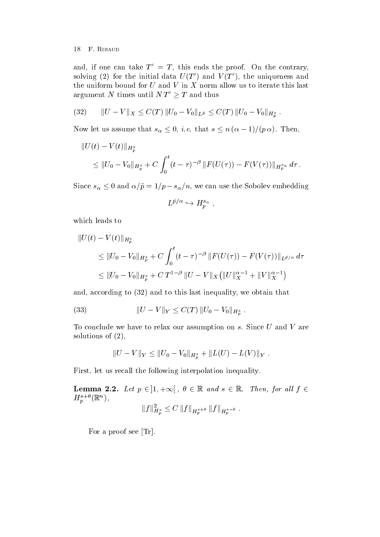and, if one can take  $I = I$ , this ends the proof. On the contrary, solving (2) for the initial data  $U(T)$  and  $V(T)$ , the uniqueness and the uniform bound for  $U$  and  $V$  in  $X$  norm allow us to iterate this last argument N times until  $N T \geq T$  and thus

(32) 
$$
||U - V||_X \leq C(T) ||U_0 - V_0||_{L^{\tilde{p}}} \leq C(T) ||U_0 - V_0||_{H^s_{p}}.
$$

Now let us assume that  $s_{\alpha} \leq 0$ , *i.e.* that  $s \leq n (\alpha - 1) / (p \alpha)$ . Then,

$$
||U(t) - V(t)||_{H_p^s}
$$
  
\n
$$
\leq ||U_0 - V_0||_{H_p^s} + C \int_0^t (t - \tau)^{-\beta} ||F(U(\tau)) - F(V(\tau))||_{H_p^{s_\alpha}} d\tau.
$$

Since  $s_{\alpha} \leq 0$  and  $\alpha/\tilde{p} = 1/p - s_{\alpha}/n$ , we can use the Sobolev embedding

$$
L^{\tilde{p}/\alpha} \hookrightarrow H^{s_{\alpha}}_{p} ,
$$

which leads to

$$
||U(t) - V(t)||_{H_p^s}
$$
  
\n
$$
\leq ||U_0 - V_0||_{H_p^s} + C \int_0^t (t - \tau)^{-\beta} ||F(U(\tau)) - F(V(\tau))||_{L^{\tilde{p}/\alpha}} d\tau
$$
  
\n
$$
\leq ||U_0 - V_0||_{H_p^s} + C T^{1-\beta} ||U - V||_X (||U||_X^{\alpha-1} + ||V||_X^{\alpha-1})
$$

and, according to  $(32)$  and to this last inequality, we obtain that

(33) 
$$
||U - V||_Y \leq C(T) ||U_0 - V_0||_{H_p^s}.
$$

To conclude we have to relax our assumption on  $s$ . Since  $U$  and  $V$  are solutions of  $(2)$ ,

$$
||U - V||_Y \le ||U_0 - V_0||_{H_p^s} + ||L(U) - L(V)||_Y.
$$

First, let us recall the following interpolation inequality.

**Lemma 2.2.** Let  $p \in [1, +\infty]$ ,  $\theta \in \mathbb{R}$  and  $s \in \mathbb{R}$ . Then, for all  $f \in \mathbb{R}$  $H_{p}^{(-)}(\mathbb{R}^{n}),$ 

$$
||f||_{H_p^s}^2 \leq C ||f||_{H_p^{s+\theta}} ||f||_{H_p^{s-\theta}}.
$$

For a proof see  $[\text{Tr}]$ .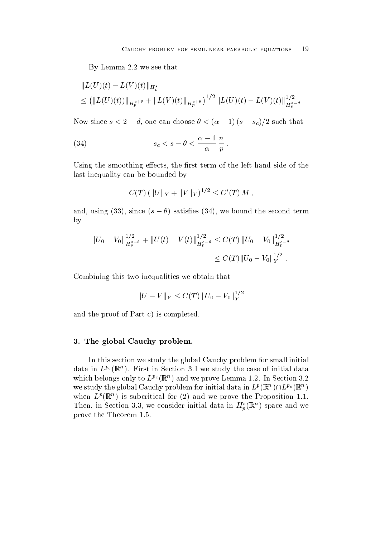By Lemma 2.2 we see that

$$
||L(U)(t) - L(V)(t)||_{H_p^s}
$$
  
\n
$$
\leq (||L(U)(t))||_{H_p^{s+\theta}} + ||L(V)(t)||_{H_p^{s+\theta}})^{1/2} ||L(U)(t) - L(V)(t)||_{H_p^{s-\theta}}^{1/2}
$$

Now since  $s \leq 2 - a$ , one can choose  $\sigma \leq (\alpha - 1)(s - s_c)/2$  such that

(34) 
$$
s_c < s - \theta < \frac{\alpha - 1}{\alpha} \frac{n}{p} \, .
$$

Using the smoothing eects the rst term of the left-hand side of the last inequality can be bounded by

$$
C(T) \left( ||U||_Y + ||V||_Y \right)^{1/2} \le C'(T) M,
$$

and, using (33), since  $(s - \theta)$  satisfies (34), we bound the second term by

$$
||U_0 - V_0||_{H_p^{s-\theta}}^{1/2} + ||U(t) - V(t)||_{H_p^{s-\theta}}^{1/2} \le C(T) ||U_0 - V_0||_{H_p^{s-\theta}}^{1/2}
$$
  

$$
\le C(T) ||U_0 - V_0||_Y^{1/2}.
$$

Combining this two inequalities we obtain that

$$
||U - V||_Y \leq C(T) ||U_0 - V_0||_Y^{1/2}
$$

and the proof of Part c) is completed.

# - The global Cauchy problem-

In this section we study the global Cauchy problem for small initial data in  $L^{p}$  (Ke). First in Section 3.1 we study the case of initial data which belongs only to  $L^p(\mathbb{R})$  and we prove Lemma 1.2. In Section 5.2 we study the global Cauchy problem for initial data in  $L^p(\mathbb{R}^n) \cap L^{p_c}(\mathbb{R}^n)$ when  $L^p(\mathbb{R}^+)$  is subcritical for (2) and we prove the Proposition 1.1. Then, in Section 5.5, we consider initial data in  $H_n^{\bullet}(\mathbb{R}^n)$  space and we prove the Theorem and Theorem and Theorem and Theorem and Theorem and Theorem and Theorem and Theorem and Theorem and Theorem and Theorem and Theorem and Theorem and Theorem and Theorem and Theorem and Theorem and Theorem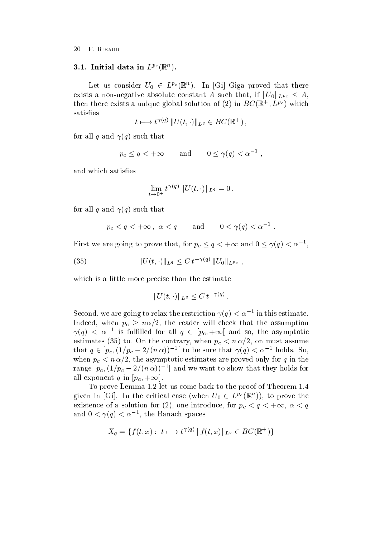## $\mathbf{I}$ . Initial data in  $L^r$  (K).

Let us consider  $U_0 \in L^{p_c}(\mathbb{R}^n)$ . In [Gi] Giga proved that there exists a non-negative absolute constant A such that, if  $||U_0||_{L^{p_c}} \leq A$ , then there exists a unique global solution of (2) in  $D\cup (\mathbb{R}^+, L^{F\cup})$  which satisfies

$$
t \longmapsto t^{\gamma(q)} \| U(t,\cdot) \|_{L^q} \in BC(\mathbb{R}^+),
$$

for all q and  $\gamma(q)$  such that

$$
p_c \le q < +\infty
$$
 and  $0 \le \gamma(q) < \alpha^{-1}$ ,

and which satisfies

$$
\lim_{t \to 0^+} t^{\gamma(q)} \| U(t, \cdot) \|_{L^q} = 0,
$$

for all q and  $\gamma(q)$  such that

$$
p_c < q < +\infty
$$
,  $\alpha < q$  and  $0 < \gamma(q) < \alpha^{-1}$ .

First we are going to prove that, for  $p_c \le q < +\infty$  and  $0 \le \gamma(q) < \alpha^{-1}$ ,

(35) 
$$
||U(t, \cdot)||_{L^q} \leq C \, t^{-\gamma(q)} \, ||U_0||_{L^{p_c}},
$$

which is a little more precise than the estimate

$$
||U(t,\cdot)||_{L^q}\leq C\,t^{-\gamma(q)}\,.
$$

Second, we are going to relax the restriction  $\gamma(q) < \alpha^{-1}$  in this estimate. Indeed, when  $p_c \geq n\alpha/2$ , the reader will check that the assumption  $\gamma(q) < \alpha^{-1}$  is fulfilled for all  $q \in |p_c,+\infty|$  and so, the asymptotic estimates (35) to. On the contrary, when  $p_c < n \alpha/2$ , on must assume that  $q \in [p_c, (1/p_c - 2/(n \alpha))]^{-1}$  to be sure that  $\gamma(q) < \alpha^{-1}$  holds. So, when  $p_c < n \alpha/2$ , the asymptotic estimates are proved only for q in the range  $|p_c,(1/p_c-2/(n\alpha))|^{-1}$  and we want to show that they holds for all exponent q in  $[p_c, +\infty]$ .

To prove Lemma let us come back to the proof of Theorem given in  $|G_1|$ . In the critical case (when  $U_0 \in L^{p_c}(\mathbb{R}^n)$ ), to prove the existence of a solution for (2), one introduce, for  $p_c < q < +\infty$ ,  $\alpha < q$ and  $0 \le \gamma(q) \le \alpha^{-1}$ , the Banach spaces

$$
X_q = \{ f(t, x) : t \mapsto t^{\gamma(q)} \| f(t, x) \|_{L^q} \in BC(\mathbb{R}^+) \}
$$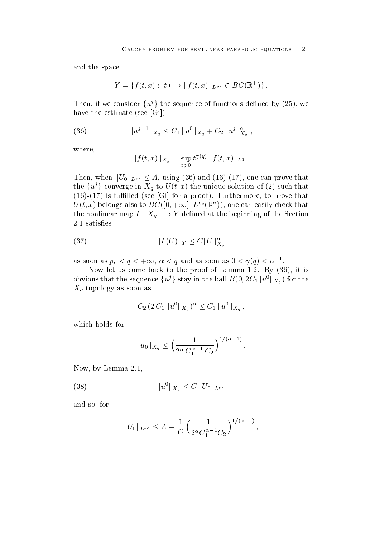and the space

$$
Y = \{ f(t, x) : t \longmapsto ||f(t, x)||_{L^{p_c}} \in BC(\mathbb{R}^+)\}.
$$

Then, if we consider  $\{u^j\}$  the sequence of functions defined by (25), we have the estimate (see  $[Gi]$ )

(36) 
$$
||u^{j+1}||_{X_q} \leq C_1 ||u^0||_{X_q} + C_2 ||u^j||_{X_q}^{\alpha} ,
$$

where

$$
|| f(t,x)||_{X_q} = \sup_{t>0} t^{\gamma(q)} || f(t,x)||_{L^q} .
$$

Then, when  $||U_0||_{L^{p_c}} \leq A$ , using (36) and (16)-(17), one can prove that the  $\{u^j\}$  converge in  $X_q$  to  $U(t, x)$  the unique solution of (2) such that , is full commented that I we have to prove the continuation of the prove that is a proven that is a prove that is  $U(t, x)$  belongs also to  $B\cup$  (  $\vert 0, +\infty \vert$  ,  $L^{p_{\mathcal{C}}}(\mathbb{R}^n)$  ), one can easily check that the nonlinear map  $L: X_q \longrightarrow Y$  defined at the beginning of the Section

(37) 
$$
||L(U)||_Y \leq C||U||_{X_q}^{\alpha}
$$

as soon as  $p_c < q < +\infty$ ,  $\alpha < q$  and as soon as  $0 < \gamma(q) < \alpha$ .

Now let us come back to the proof of Lemma By it is obvious that the sequence  $\{u^j\}$  stay in the ball  $B(0, 2C_1||u^0||_{X_q})$  for the  $X_q$  topology as soon as

$$
C_2 \, (2 \, C_1 \, \|u^0\|_{X_q})^{\alpha} \le C_1 \, \|u^0\|_{X_q} \, ,
$$

which holds for

$$
||u_0||_{X_q} \le \left(\frac{1}{2^{\alpha} C_1^{\alpha-1} C_2}\right)^{1/(\alpha-1)}.
$$

Now, by Lemma  $2.1$ ,

(38) 
$$
||u^0||_{X_q} \leq C ||U_0||_{L^{p_c}}
$$

and so, for

$$
||U_0||_{L^{p_c}} \le A = \frac{1}{C} \left( \frac{1}{2^{\alpha} C_1^{\alpha-1} C_2} \right)^{1/(\alpha-1)},
$$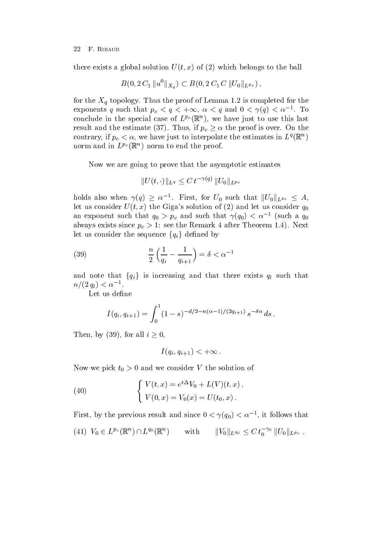there exists a global solution  $U(t, x)$  of (2) which belongs to the ball

$$
B(0, 2C_1 ||u^0||_{X_q}) \subset B(0, 2C_1 C ||U_0||_{L^{p_c}}),
$$

for the  $\alpha$  topology Thus the proof of Lemma is completed for  $\Gamma$ exponents  $q$  such that  $p_c < q < +\infty$ ,  $\alpha < q$  and  $0 < \gamma(q) < \alpha$   $\,$ . To conclude in the special case of  $L^{p,q}(\mathbb{R}^n)$ , we have just to use this last result and the estimate (37). Thus, if  $p_c \geq \alpha$  the proof is over. On the contrary, if  $p_c < \alpha$ , we have just to interpolate the estimates in  $L^q(\mathbb{R}^n)$  $\mathbf{r}$  and  $\mathbf{r}$  and  $\mathbf{r}$  and  $\mathbf{r}$ norm and in  $L^{p_c}(\mathbb{R}^n)$  norm to end the proof.

Now we are going to prove that the asymptotic estimates

$$
\|U(t,\cdot)\|_{L^q}\le C\,t^{-\gamma(q)}\,\|U_0\|_{L^{p_c}}
$$

holds also when  $\gamma(q) \geq \alpha^{-1}$ . First, for  $U_0$  such that  $||U_0||_{L^{p_c}} \leq A$ , let us consider  $U(t, x)$  the Giga's solution of (2) and let us consider  $q_0$ an exponent such that  $q_0 > p_c$  and such that  $\gamma(q_0) < \alpha$  - (such a  $q_0$ always exists since  $\mu$  ,  $\epsilon$  - in the Remark in the Remark  $\epsilon$  - in the Remark  $\epsilon$  of  $\epsilon$ let us consider the sequence  ${q_i}$  defined by

(39) 
$$
\frac{n}{2} \left( \frac{1}{q_i} - \frac{1}{q_{i+1}} \right) = \delta < \alpha^{-1}
$$

and note that  $\{q_i\}$  is increasing and that there exists  $q_l$  such that  $n/(2q_l) \leq \alpha$ .

Let us define

$$
I(q_i, q_{i+1}) = \int_0^1 (1 - s)^{-d/2 - n(\alpha - 1)/(2q_{i+1})} s^{-\delta \alpha} ds.
$$

Then, by (39), for all  $i \geq 0$ .

$$
I(q_i,q_{i+1}) < +\infty .
$$

Now we consider V the solution of the solution of the solution of the solution of the solution of the solution of the solution of the solution of the solution of the solution of the solution of the solution of the solution

(40) 
$$
\begin{cases} V(t,x) = e^{t\Delta}V_0 + L(V)(t,x), \\ V(0,x) = V_0(x) = U(t_0,x). \end{cases}
$$

First, by the previous result and since  $0 \leq \gamma(q_0) \leq \alpha$  , it follows that

$$
(41) V_0 \in L^{p_c}(\mathbb{R}^n) \cap L^{q_0}(\mathbb{R}^n) \quad \text{with} \quad ||V_0||_{L^{q_0}} \leq C t_0^{-\gamma_0} ||U_0||_{L^{p_c}}.
$$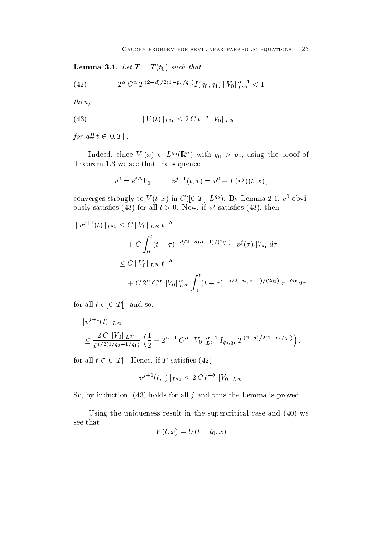$\cup$   $\cup$   $\cup$ 

(42) 
$$
2^{\alpha} C^{\alpha} T^{(2-d)/2(1-p_c/q_o)} I(q_0, q_1) \|V_0\|_{L^{q_0}}^{\alpha-1} < 1
$$

then

(43) 
$$
||V(t)||_{L^{q_1}} \leq 2C t^{-\delta} ||V_0||_{L^{q_0}},
$$

for all  $t \in [0, T]$ .

Indeed, since  $V_0(x) \in L^{q_0}(\mathbb{R}^n)$  with  $q_0 > p_c$ , using the proof of Theorem we see that the sequence

$$
v^{0} = e^{t\Delta} V_0 , \t v^{j+1}(t, x) = v^{0} + L(v^{j})(t, x) ,
$$

converges strongly to  $V(t, x)$  in  $C([0, T], L^{q_0})$ . By Lemma 2.1,  $v^2$  obviously satisfies (45) for all  $t > 0$ . Now, if v satisfies (45), then

$$
||v^{j+1}(t)||_{L^{q_1}} \leq C ||V_0||_{L^{q_0}} t^{-\delta}
$$
  
+  $C \int_0^t (t-\tau)^{-d/2-n(\alpha-1)/(2q_1)} ||v^j(\tau)||_{L^{q_1}}^{\alpha} d\tau$   
 $\leq C ||V_0||_{L^{q_0}} t^{-\delta}$   
+  $C 2^{\alpha} C^{\alpha} ||V_0||_{L^{q_0}}^{\alpha} \int_0^t (t-\tau)^{-d/2-n(\alpha-1)/(2q_1)} \tau^{-\delta \alpha} d\tau$ 

for all  $t \in [0, T]$  , and so,

$$
||v^{j+1}(t)||_{L^{q_1}}\n\leq \frac{2 C ||V_0||_{L^{q_0}}}{t^{n/2(1/q_0-1/q_1)}} \left(\frac{1}{2} + 2^{\alpha-1} C^{\alpha} ||V_0||_{L^{q_0}}^{\alpha-1} I_{q_0,q_1} T^{(2-d)/2(1-p_c/q_0)}\right),
$$

for all  $t \in [0,T]$  . Hence, if T satisfies (42),

$$
||v^{j+1}(t,\cdot)||_{L^{q_1}} \leq 2C t^{-\delta} ||V_0||_{L^{q_0}}.
$$

So, by induction,  $(43)$  holds for all j and thus the Lemma is proved.

Using the uniqueness result in the supercritical case and  $(40)$  we see that

$$
V(t,x) = U(t+t_0,x)
$$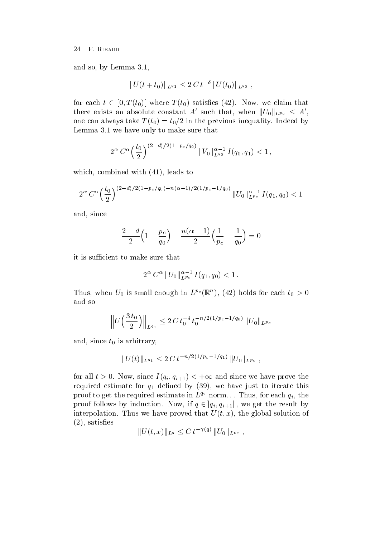and so by Lemma so by Lemma so by Lemma so by Lemma so by Lemma so by Lemma so by Lemma

$$
||U(t+t_0)||_{L^{q_1}} \leq 2C t^{-\delta} ||U(t_0)||_{L^{q_0}} ,
$$

for each  $t \in [0, T(t_0)]$  where  $T(t_0)$  satisfies (42). Now, we claim that there exists an absolute constant A' such that, when  $||U_0||_{L^{p_c}} \leq A'$ , one can always take  $T(t_0) = t_0/2$  in the previous inequality. Indeed by  $L$  . The make sure that sure that sure that sure that sure that sure that sure that sure that sure that sure that sure

$$
2^{\alpha} C^{\alpha} \left(\frac{t_0}{2}\right)^{(2-d)/2(1-p_c/q_0)} \|V_0\|_{L^{q_0}}^{\alpha-1} I(q_0,q_1) < 1,
$$

which combined with  $\mathcal{M}$  and  $\mathcal{M}$  and  $\mathcal{M}$  and  $\mathcal{M}$  and  $\mathcal{M}$  and  $\mathcal{M}$ 

$$
2^{\alpha} C^{\alpha} \left(\frac{t_0}{2}\right)^{(2-d)/2(1-p_c/q_0)-n(\alpha-1)/2(1/p_c-1/q_0)} \|U_0\|_{L^{p_c}}^{\alpha-1} I(q_1,q_0) < 1
$$

and, since

$$
\frac{2-d}{2}\Big(1-\frac{p_c}{q_0}\Big)-\frac{n(\alpha-1)}{2}\Big(\frac{1}{p_c}-\frac{1}{q_0}\Big)=0
$$

it is sufficient to make sure that

$$
2^\alpha \, C^\alpha \, \|U_0\|_{L^{\,p_c}}^{\alpha-1} \, I(q_1,q_0) < 1 \, .
$$

Thus, when  $U_0$  is small enough in  $L^{p\epsilon}(\mathbb{R}^n)$ , (42) holds for each  $t_0 > 0$ and so

$$
\left\| U\left(\frac{3 t_0}{2}\right) \right\|_{L^{q_1}} \leq 2 C t_0^{-\delta} t_0^{-n/2(1/p_c - 1/q_0)} \|U_0\|_{L^{p_c}}
$$

and, since  $t_0$  is arbitrary,

$$
||U(t)||_{L^{q_1}} \leq 2C t^{-n/2(1/p_c - 1/q_1)} ||U_0||_{L^{p_c}},
$$

for all  $t > 0$ . Now, since  $I(q_i, q_{i+1}) < +\infty$  and since we have prove the required estimate for  $q_1$  defined by (39), we have just to iterate this proof to get the required estimate in  $L^{q_2}$  norm... Thus, for each  $q_i$ , the proof follows by induction. Now, if  $q \in [q_i, q_{i+1}]$ , we get the result by interpolation. Thus we have proved that  $U(t, x)$ , the global solution of  $(2)$ , satisfies

$$
||U(t,x)||_{L^q} \leq C t^{-\gamma(q)} ||U_0||_{L^{p_c}},
$$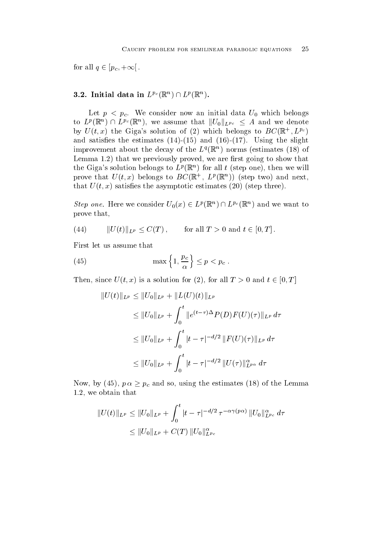for all  $q \in [p_c, +\infty]$ .

# 3.2. Initial data in  $L^{p_c}(\mathbb{R}^n) \cap L^p(\mathbb{R}^n)$ .

Let  $p < p_c$ . We consider now an initial data  $U_0$  which belongs to  $L^p(\mathbb{R}^n) \cap L^{p_c}(\mathbb{R}^n)$ , we assume that  $||U_0||_{L^{p_c}} \leq A$  and we denote by  $U(t, x)$  the Gigas solution of (2) which belongs to  $D\mathcal{C}(\mathbb{R}^+, D^{reg})$ and satisfied the slight state of the slight state of the slight state of the slight state of the slight state improvement about the decay of the  $L^q(\mathbb{R}^+)$  norms (estimates (18) of Lemma that we previously proved we are rst going to show that the Giga's solution belongs to  $L^p(\mathbb{R}^+)$  for all t (step one), then we will prove that  $U(t, x)$  belongs to  $D\cup (\mathbb{R}^+, L^p(\mathbb{R}^+))$  (step two) and next, that  $U(t, x)$  satisfies the asymptotic estimates (20) (step three).

*Step one.* Here we consider  $U_0(x) \in L^p(\mathbb{R}^n) \cap L^{p_c}(\mathbb{R}^n)$  and we want to prove that

 $(44)$   $||U(t)||_{L^{p}} \leq C(T),$  for all  $T > 0$  and  $t \in [0, T]$ .

First let us assume that

(45) 
$$
\max\left\{1,\frac{p_c}{\alpha}\right\} \leq p < p_c.
$$

Then, since  $U(t, x)$  is a solution for (2), for all  $T > 0$  and  $t \in [0, T]$ 

$$
||U(t)||_{L^{p}} \leq ||U_{0}||_{L^{p}} + ||L(U)(t)||_{L^{p}}
$$
  
\n
$$
\leq ||U_{0}||_{L^{p}} + \int_{0}^{t} ||e^{(t-\tau)\Delta}P(D)F(U)(\tau)||_{L^{p}} d\tau
$$
  
\n
$$
\leq ||U_{0}||_{L^{p}} + \int_{0}^{t} |t-\tau|^{-d/2} ||F(U)(\tau)||_{L^{p}} d\tau
$$
  
\n
$$
\leq ||U_{0}||_{L^{p}} + \int_{0}^{t} |t-\tau|^{-d/2} ||U(\tau)||_{L^{p_{\alpha}}}^{\alpha} d\tau
$$

Now, by (45),  $p \alpha \geq p_c$  and so, using the estimates (18) of the Lemma we obtain that

$$
||U(t)||_{L^p} \le ||U_0||_{L^p} + \int_0^t |t - \tau|^{-d/2} \tau^{-\alpha \gamma(p\alpha)} ||U_0||_{L^{p_c}}^{\alpha} d\tau
$$
  
\$\leq ||U\_0||\_{L^p} + C(T) ||U\_0||\_{L^{p\_c}}^{\alpha}\$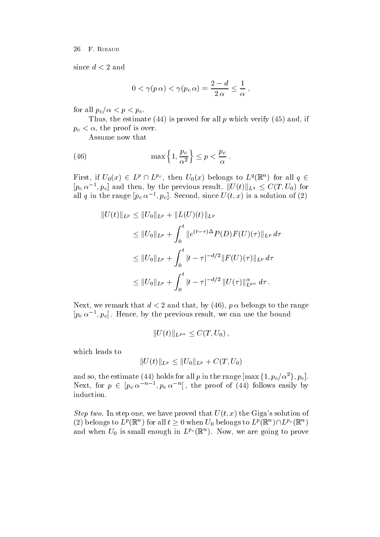since  $d < 2$  and

$$
0 < \gamma(p \alpha) < \gamma(p_c \alpha) = \frac{2-d}{2 \alpha} \leq \frac{1}{\alpha} ,
$$

for all  $p_c/\alpha < p < p_c$ .

Thus, the estimate  $(44)$  is proved for all p which verify  $(45)$  and, if  $p_c < \alpha$ , the proof is over.

Assume now that

(46) 
$$
\max\left\{1,\frac{p_c}{\alpha^2}\right\} \leq p < \frac{p_c}{\alpha} \; .
$$

First, if  $U_0(x) \in L^p \cap L^{p_c}$ , then  $U_0(x)$  belongs to  $L^q(\mathbb{R}^n)$  for all  $q \in L^q$  $[p_c\,\alpha^{-1},p_c]$  and then, by the previous result,  $||U(t)||_{L^q} \leq C(T,U_0)$  for an q in the range  $|p_c \alpha \rangle$ ,  $|p_c|$ . Second, since  $U(t, x)$  is a solution of  $(Z)$ 

$$
||U(t)||_{L^{p}} \leq ||U_{0}||_{L^{p}} + ||L(U)(t)||_{L^{p}}
$$
  
\n
$$
\leq ||U_{0}||_{L^{p}} + \int_{0}^{t} ||e^{(t-\tau)\Delta}P(D)F(U)(\tau)||_{L^{p}} d\tau
$$
  
\n
$$
\leq ||U_{0}||_{L^{p}} + \int_{0}^{t} |t-\tau|^{-d/2} ||F(U)(\tau)||_{L^{p}} d\tau
$$
  
\n
$$
\leq ||U_{0}||_{L^{p}} + \int_{0}^{t} |t-\tau|^{-d/2} ||U(\tau)||_{L^{p\alpha}}^{\alpha} d\tau.
$$

Next, we remark that  $d < 2$  and that, by (46),  $p \alpha$  belongs to the range  $|p_c \alpha \rangle$  -,  $|p_c|$  . Hence, by the previous result, we can use the bound

$$
||U(t)||_{L^{p\alpha}} \leq C(T, U_0),
$$

which leads to

$$
||U(t)||_{L^p} \leq ||U_0||_{L^p} + C(T, U_0)
$$

and so, the estimate (44) holds for all  $p$  in the range  $[\max{\{1, p_c/\alpha^2\}}, p_c]$ . Next, for  $p \in |p_c \alpha^{-n-1}, p_c \alpha^{-n}|$ , the proof of (44) follows easily by induction

Step two- In step one we have proved that Ut x the Gigas solution of (2) belongs to  $L^p(\mathbb{R}^n)$  for all  $t\geq 0$  when  $U_0$  belongs to  $L^p(\mathbb{R}^n) \cap L^{p_c}(\mathbb{R}^n)$ and when  $U_0$  is small enough in  $L^{p_0}(\mathbb{R}^n)$ . Now, we are going to prove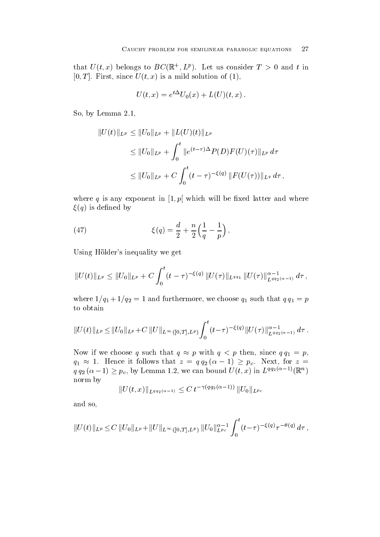that  $U(t, x)$  belongs to  $D\cup (\mathbb{R}^+, L^x)$ . Let us consider  $I > 0$  and t in T is a mild since  $T$  is a mild solution of  $T$  is a mild solution of  $T$  is a mild solution of  $T$ 

$$
U(t,x) = e^{t\Delta}U_0(x) + L(U)(t,x).
$$

 $S = \begin{bmatrix} 1 & 1 & 1 \end{bmatrix}$ 

$$
||U(t)||_{L^p} \le ||U_0||_{L^p} + ||L(U)(t)||_{L^p}
$$
  
\n
$$
\le ||U_0||_{L^p} + \int_0^t ||e^{(t-\tau)\Delta}P(D)F(U)(\tau)||_{L^p} d\tau
$$
  
\n
$$
\le ||U_0||_{L^p} + C \int_0^t (t-\tau)^{-\xi(q)} ||F(U(\tau))||_{L^q} d\tau,
$$

where  $\mathbf{v}$  is any exponent in the contract will be any exponent in the set of  $\mathbf{v}$  $\xi(q)$  is defined by

(47) 
$$
\xi(q) = \frac{d}{2} + \frac{n}{2} \left( \frac{1}{q} - \frac{1}{p} \right),
$$

Using Hölder's inequality we get

$$
||U(t)||_{L^p} \leq ||U_0||_{L^p} + C \int_0^t (t-\tau)^{-\xi(q)} ||U(\tau)||_{L^{qq_1}} ||U(\tau)||_{L^{qq_2(\alpha-1)}}^{\alpha-1} d\tau,
$$

 $q \mathrel{\mathcal{A}}$  and furthermore we choose  $q \mathrel{\mathcal{A}}$  and  $q \mathrel{\mathcal{A}}$  and  $q \mathrel{\mathcal{A}}$  and  $q \mathrel{\mathcal{A}}$  and  $q \mathrel{\mathcal{A}}$  and  $q \mathrel{\mathcal{A}}$  and  $q \mathrel{\mathcal{A}}$  and  $q \mathrel{\mathcal{A}}$  and  $q \mathrel{\mathcal{A}}$  and  $q \mathrel{\mathcal{A}}$  and  $q \mathrel{\mathcal{A}}$ to obtain

$$
||U(t)||_{L^p}\leq ||U_0||_{L^p}+C||U||_{L^{\infty}([0,T],L^p)}\int_0^t(t-\tau)^{-\xi(q)}||U(\tau)||_{L^{qq_2(\alpha-1)}}^{\alpha-1}d\tau.
$$

Now if we choose q such that  $q \approx p$  with  $q < p$  then, since  $q q_1 = p$ ,  $q_1 \approx 1$ . Hence it follows that  $z = q q_2 (\alpha - 1) \geq p_c$ . Next, for  $z =$  $q q_2(\alpha-1) \geq p_c$ , by Lemma 1.2, we can bound  $U(t, x)$  in  $L^{qq_2(\alpha-1)}(\mathbb{R}^n)$ norm by

$$
||U(t,x)||_{L^{qq_2(\alpha-1)}} \leq C \, t^{-\gamma(qq_2(\alpha-1))} \, ||U_0||_{L^{p_c}}
$$

and so

$$
||U(t)||_{L^p} \leq C ||U_0||_{L^p} + ||U||_{L^{\infty}([0,T],L^p)} ||U_0||_{L^{p_c}}^{\alpha-1} \int_0^t (t-\tau)^{-\xi(q)} \tau^{-\theta(q)} d\tau,
$$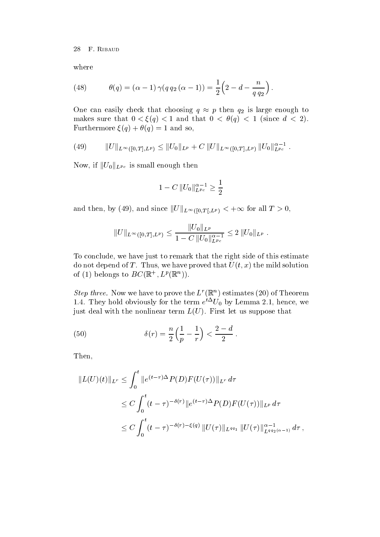where

(48) 
$$
\theta(q) = (\alpha - 1) \gamma(q q_2 (\alpha - 1)) = \frac{1}{2} (2 - d - \frac{n}{q q_2}).
$$

One can easily check that choosing  $q \approx p$  then  $q_2$  is large enough to makes sure that  $\mathbf{u}$  is the discrete discrete discrete discrete discrete discrete discrete discrete discrete  $\blacksquare$  and so and so and so and so and so and so and so and so and so and so and so and so and so and so and so and so and so and so and so and so and so and so and so and so and so and so and so and so and so and so and

(49) 
$$
||U||_{L^{\infty}([0,T],L^p)} \leq ||U_0||_{L^p} + C ||U||_{L^{\infty}([0,T],L^p)} ||U_0||_{L^{pc}}^{\alpha-1}.
$$

Now, if  $||U_0||_{L^{p_c}}$  is small enough then

$$
1-C\,\|U_0\|_{L^{\,pc}}^{\alpha-1}\geq \frac{1}{2}
$$

and then, by (49), and since  $||U||_{L^{\infty}([0,T],L^p)} < +\infty$  for all  $T > 0$ ,

$$
||U||_{L^{\infty}([0,T],L^p)} \leq \frac{||U_0||_{L^p}}{1-C||U_0||_{L^{p_c}}^{\alpha-1}} \leq 2 ||U_0||_{L^p}.
$$

To conclude, we have just to remark that the right side of this estimate do not depend of T. Thus, we have proved that  $U(t, x)$  the mild solution of (1) belongs to  $D \cup (\mathbb{R}^+, L^r(\mathbb{R}^-))$ .

Step three. Now we have to prove the  $L^2(\mathbb{R}^n)$  estimates (20) of Theorem 1.4. They hold obviously for the term  $e^{\pm}U_0$  by Lemma 2.1, hence, we just deal with the nonlinear term  $L(U)$ . First let us suppose that

(50) 
$$
\delta(r) = \frac{n}{2} \left( \frac{1}{p} - \frac{1}{r} \right) < \frac{2 - d}{2} \, .
$$

Then

$$
||L(U)(t)||_{L^{r}} \leq \int_{0}^{t} ||e^{(t-\tau)\Delta} P(D)F(U(\tau))||_{L^{r}} d\tau
$$
  
\n
$$
\leq C \int_{0}^{t} (t-\tau)^{-\delta(r)} ||e^{(t-\tau)\Delta} P(D)F(U(\tau))||_{L^{p}} d\tau
$$
  
\n
$$
\leq C \int_{0}^{t} (t-\tau)^{-\delta(r)-\xi(q)} ||U(\tau)||_{L^{qq_{1}}} ||U(\tau)||_{L^{qq_{2}(\alpha-1)}}^{\alpha-1} d\tau,
$$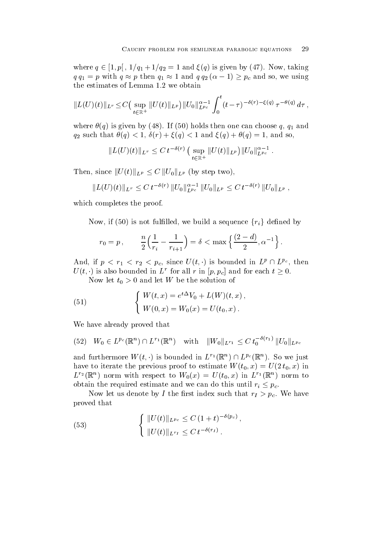where  $q \in [1, p]$ ,  $1/q_1 + 1/q_2 = 1$  and  $\xi(q)$  is given by  $(47)$ . Now, taking  $q q_1 = p$  with  $q \approx p$  then  $q_1 \approx 1$  and  $q q_2 (\alpha - 1) \geq p_c$  and so, we using

$$
||L(U)(t)||_{L^r} \leq C\big(\sup_{t\in\mathbb{R}^+}||U(t)||_{L^p}\big)||U_0||_{L^{p_c}}^{\alpha-1}\int_0^t (t-\tau)^{-\delta(r)-\xi(q)}\,\tau^{-\theta(q)}\,d\tau\,,
$$

where  $\theta(q)$  is given by (48). If (50) holds then one can choose q,  $q_1$  and  $\mathcal{A}$  such that  $\mathcal{A}$  and  $\mathcal{A}$  and  $\mathcal{A}$  and  $\mathcal{A}$  and  $\mathcal{A}$  and  $\mathcal{A}$  and  $\mathcal{A}$  and  $\mathcal{A}$  and  $\mathcal{A}$  and  $\mathcal{A}$  and  $\mathcal{A}$  and  $\mathcal{A}$  and  $\mathcal{A}$  and  $\mathcal{A}$  and  $\mathcal{A}$  and  $\mathcal{A}$ 

$$
||L(U)(t)||_{L^r} \leq C t^{-\delta(r)} \left( \sup_{t \in \mathbb{R}^+} ||U(t)||_{L^p}\right) ||U_0||_{L^{p_c}}^{\alpha-1}.
$$

Then, since  $||U(t)||_{L^p} \leq C ||U_0||_{L^p}$  (by step two),

$$
||L(U)(t)||_{L^r} \leq C t^{-\delta(r)} ||U_0||_{L^{p_c}}^{\alpha-1} ||U_0||_{L^p} \leq C t^{-\delta(r)} ||U_0||_{L^p},
$$

which completes the proof.

Now, if (50) is not fulfilled, we build a sequence  $\{r_i\}$  defined by

$$
r_0 = p
$$
,  $\frac{n}{2} \left( \frac{1}{r_i} - \frac{1}{r_{i+1}} \right) = \delta < \max \left\{ \frac{(2-d)}{2}, \alpha^{-1} \right\}.$ 

And, if  $p < r_1 < r_2 < p_c$ , since  $U(t, \cdot)$  is bounded in  $L^p \cap L^{p_c}$ , then  $U(t, \cdot)$  is also bounded in L<sup>r</sup> for all r in  $|p, p_c|$  and for each  $t \geq 0$ .

now it is a proportion of the solution of the solution of the solution of the solution of the solution of the

(51) 
$$
\begin{cases} W(t,x) = e^{t\Delta}V_0 + L(W)(t,x), \\ W(0,x) = W_0(x) = U(t_0,x). \end{cases}
$$

We have already proved that

$$
(52) \quad W_0 \in L^{p_c}(\mathbb{R}^n) \cap L^{r_1}(\mathbb{R}^n) \quad \text{with} \quad ||W_0||_{L^{r_1}} \leq C \ t_0^{-\delta(r_1)} \, ||U_0||_{L^{p_c}}
$$

and furthermore  $W(t, \cdot)$  is bounded in  $L^{r_1}(\mathbb{R}^n) \cap L^{p_c}(\mathbb{R}^n)$ . So we just have to iterate the previous proof to estimate  $W(t_0, x) = U(2t_0, x)$  in  $L^2(\mathbb{R}^+)$  horm with respect to  $W_0(x) = U(t_0,x)$  in  $L^2(\mathbb{R}^+)$  horm to obtain the required estimate and we can do this until  $r_i \leq p_c$ .

now it is denoted by I the result index such that  $\mathcal{L}$  the right  $\mathcal{L}$  is the such that  $\mathcal{L}$ proved that

(53) 
$$
\begin{cases} ||U(t)||_{L^{p_c}} \leq C (1+t)^{-\delta(p_c)}, \\ ||U(t)||_{L^{r_I}} \leq C t^{-\delta(r_I)}. \end{cases}
$$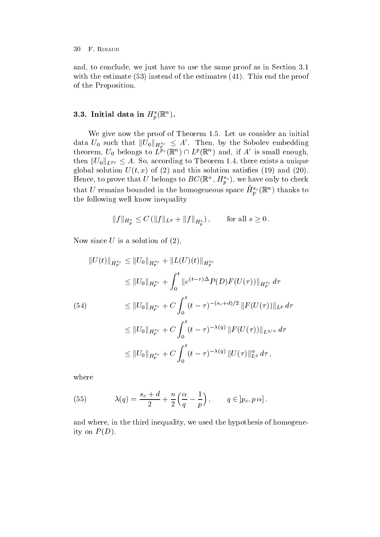and, to conclude, we just have to use the same proof as in Section 3.1 with the estimate instead of the estimates  $\mathbf{N} = \mathbf{I}$ of the Proposition

# $\delta.\delta$ . Initial data in  $H_{\eta}(\mathbb{K}^n)$ .

we give now the proof of Theorem II and the proof of Theorem II and the proof of Theorem II and the proof of T data  $U_0$  such that  $||U_0||_{H^{s_c}_p} \leq A'$ . Then, by the Sobolev embedding theorem,  $U_0$  belongs to  $L^{p_c}(\mathbb{R}^n) \cap L^p(\mathbb{R}^n)$  and, if A' is small enough, then  $||U_0||_{L^{p_c}} \leq A$ . So, according to Theorem 1.4, there exists a unique  $\mathcal{U}$  solution satisfies the  $\mathcal{U}$  of  $\mathcal{U}$  of  $\mathcal{U}$  and  $\mathcal{U}$  and  $\mathcal{U}$ Hence, to prove that U belongs to  $DC(\mathbb{R}^+, H_p^{\circ})$ , we have only to check that U remains bounded in the homogeneous space  $H_{p}^{\infty}(\mathbb{R}^n)$  thanks to the following well know inequality

$$
||f||_{H_p^s} \leq C (||f||_{L^p} + ||f||_{\dot{H}_p^s}),
$$
 for all  $s \geq 0$ .

Now since  $U$  is a solution of  $(2)$ ,

$$
||U(t)||_{\dot{H}_{p}^{s_c}} \leq ||U_0||_{\dot{H}_{p}^{s_c}} + ||L(U)(t)||_{\dot{H}_{p}^{s_c}}
$$
  
\n
$$
\leq ||U_0||_{H_{p}^{s_c}} + \int_0^t ||e^{(t-\tau)\Delta}P(D)F(U(\tau))||_{\dot{H}_{p}^{s_c}} d\tau
$$
  
\n(54)  
\n
$$
\leq ||U_0||_{H_{p}^{s_c}} + C \int_0^t (t-\tau)^{-(s_c+d)/2} ||F(U(\tau))||_{L^p} d\tau
$$
  
\n
$$
\leq ||U_0||_{H_{p}^{s_c}} + C \int_0^t (t-\tau)^{-\lambda(q)} ||F(U(\tau))||_{L^{q/\alpha}} d\tau
$$
  
\n
$$
\leq ||U_0||_{H_{p}^{s_c}} + C \int_0^t (t-\tau)^{-\lambda(q)} ||U(\tau)||_{L^q}^{\alpha} d\tau,
$$

where

(55) 
$$
\lambda(q) = \frac{s_c + d}{2} + \frac{n}{2} \left( \frac{\alpha}{q} - \frac{1}{p} \right), \qquad q \in ]p_c, p \alpha].
$$

and where, in the third inequality, we used the hypothesis of homogeneity on  $P(D)$ .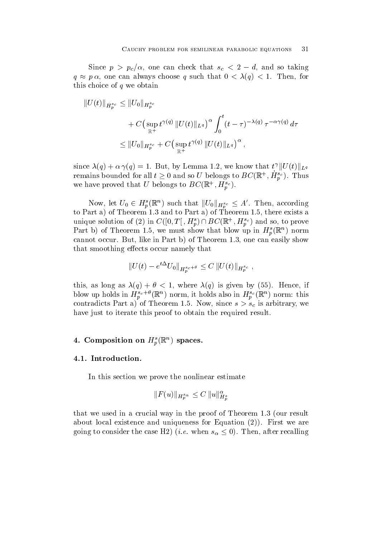Since  $p > p_c/\alpha$ , one can check that  $s_c < 2 - a$ , and so taking  $q \approx p \, \alpha$ , one can always choose q such that  $0 < \lambda(q) < 1$ . Then, for this choice of  $q$  we obtain

$$
||U(t)||_{\dot{H}_{p}^{s_c}} \leq ||U_0||_{H_p^{s_c}} + C \left( \sup_{\mathbb{R}^+} t^{\gamma(q)} ||U(t)||_{L^q} \right)^{\alpha} \int_0^t (t-\tau)^{-\lambda(q)} \, \tau^{-\alpha\gamma(q)} \, d\tau \leq ||U_0||_{H_p^{s_c}} + C \left( \sup_{\mathbb{R}^+} t^{\gamma(q)} ||U(t)||_{L^q} \right)^{\alpha},
$$

since  $\lambda(q) + \alpha \gamma(q) = 1$ . But, by Lemma 1.2, we know that  $t^{\gamma} \| U(t) \|_{L^q}$ remains bounded for all  $t \geq 0$  and so U belongs to  $BC(\mathbb{R}^+, H^{s_c}_{p})$ . Thus we have proved that U belongs to  $DC(\mathbb{R}^+, H_p^{\circ})$ .

Now, let  $U_0 \in H_p^s(\mathbb{R}^n)$  such that  $||U_0||_{H_p^{s_c}} \leq A'$ . Then, according to Part a of Part and Pit and to Part a of Theorem Part and the second theorem and the second  $\alpha$ unique solution of (2) in  $C([0,T], H_p^s) \cap BC(\mathbb{R}^+, H_p^{sc})$  and so, to prove Part b) of Theorem 1.5, we must show that blow up in  $H_{\tilde{p}}(\mathbb{R}^n)$  horm cannot occur But and the state in Part b of Theorem Islam and the cannot provide the canonical show the canonic that smoothing effects occur namely that

$$
||U(t) - e^{t\Delta} U_0||_{H^{s_c + \theta}_p} \leq C ||U(t)||_{H^{s_c}_p},
$$

this assumption by a contract in the contract of the contract in the contract of  $\mathcal{M}$  is given by  $\mathcal{M}$ blow up holds in  $H_p^{\circ}$  ( $\mathbb{R}$ ) horm, it holds also in  $H_p^{\circ}(\mathbb{R}$ ) horm: this contradicts Part a of Theorem in the second state s-sc is arbitrary weak and the second state second state second state second state second state second state second state second state second state second state second stat have just to iterate this proof to obtain the required result.

# 4. Composition on  $\pi_{\eta}(\mathbb{R}^+)$  spaces.

In this section we prove the nonlinear estimate

$$
\|F(u)\|_{H_p^{s_\alpha}}\leq C\,\|u\|^{\alpha}_{H_n^s}
$$

that we use the crucial way in the proof of the proof of Theorem and Photo of Theorem 2014 and the proof of Th about local existence and uniqueness for Equation  $(2)$ ). First we are going to consider the case H2) (*i.e.* when  $s_{\alpha} \leq 0$ ). Then, after recalling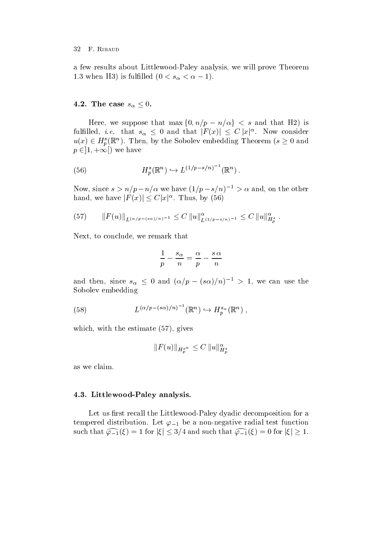a few results about Littlewood-Paley analysis we will prove Theorem 1.0 when H<sub>2</sub>) is fullfied  $0 \lt s_\alpha \lt u-1$ .

# 4.2. The case  $s_\alpha \leq 0$ .

Here, we suppose that  $\max\{0, n/p - n/\alpha\} < s$  and that H2) is fulfilled, *i.e.* that  $s_\alpha \leq 0$  and that  $|F(x)| \leq C |x|^\alpha$ . Now consider  $u(x) \in H_n^s(\mathbb{R}^n)$ . Then, by the Sobolev embedding Theorem ( $s \geq 0$  and  $p \in \{1, +\infty\}$  we have

(56) 
$$
H_p^s(\mathbb{R}^n) \hookrightarrow L^{(1/p-s/n)^{-1}}(\mathbb{R}^n).
$$

Now, since  $s > n/p - n/\alpha$  we have  $(1/p - s/n) \rightarrow \alpha$  and, on the other hand, we have  $|F(x)| \leq C |x|^{\alpha}$ . Thus, by (56)

$$
(57) \t\t\t ||F(u)||_{L^{(\alpha/p - (s\alpha)/n)-1}} \leq C ||u||_{L^{(1/p - s/n)-1}}^{\alpha} \leq C ||u||_{H_p^s}^{\alpha} .
$$

Next, to conclude, we remark that

$$
\frac{1}{p}-\frac{s_\alpha}{n}=\frac{\alpha}{p}-\frac{s\,\alpha}{n}
$$

and then, since  $s_{\alpha} \leq 0$  and  $(\alpha/p - (s\alpha)/n)^{-1} > 1$ , we can use the Sobolev embedding

(58) 
$$
L^{(\alpha/p-(s\alpha)/n)^{-1}}(\mathbb{R}^n) \hookrightarrow H_p^{s_\alpha}(\mathbb{R}^n) ,
$$

which, with the estimate  $(57)$ , gives

$$
\|F(u)\|_{H^s_p} \alpha \leq C\,\|u\|^{\alpha}_{H^s_p}
$$

as we claim

# -- Littlewood Paley analysis-

Let us rst recall the Littlewood-Paley dyadic decomposition for a tempered distribution and the anti-medial test function  $\mathcal{L}$  . The anon-medial test function  $\mathcal{L}$ such that  $\widehat{\varphi_{-1}}(\xi) = 1$  for  $|\xi| \leq 3/4$  and such that  $\widehat{\varphi_{-1}}(\xi) = 0$  for  $|\xi| \geq 1$ .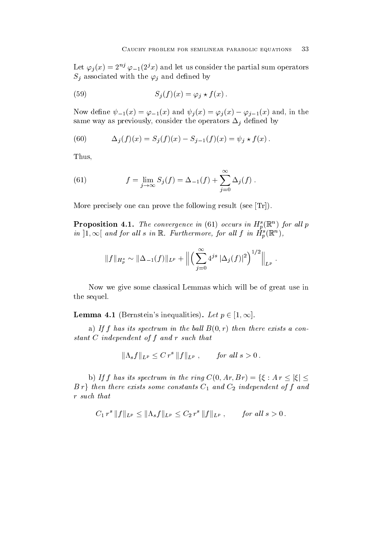Let  $\varphi_j(x) = 2^{nj} \varphi_{-1}(2^j x)$  and let us consider the partial sum operators  $S_j$  associated with the  $\varphi_j$  and defined by

(59) 
$$
S_j(f)(x) = \varphi_j \star f(x).
$$

Now define  $\psi_{-1}(x) = \varphi_{-1}(x)$  and  $\psi_j(x) = \varphi_j(x) - \varphi_{j-1}(x)$  and, in the same way as previously, consider the operators  $\Delta_j$  defined by

(60) 
$$
\Delta_j(f)(x) = S_j(f)(x) - S_{j-1}(f)(x) = \psi_j * f(x).
$$

Thus

(61) 
$$
f = \lim_{j \to \infty} S_j(f) = \Delta_{-1}(f) + \sum_{j=0}^{\infty} \Delta_j(f).
$$

More precisely one can prove the following result (see  $[Tr]$ ).

**Proposition 4.1.** The convergence in (61) occurs in  $\mathbf{H}_p(\mathbb{R})$  for all p in  $[1, \infty]$  and for all s in  $\mathbb{R}$ . Furthermore, for all f in  $H_p^{\sigma}(\mathbb{R}^n)$ ,

$$
||f||_{H_p^s} \sim ||\Delta_{-1}(f)||_{L^p} + \Big\| \Big(\sum_{j=0}^{\infty} 4^{js} |\Delta_j(f)|^2\Big)^{1/2} \Big\|_{L^p}.
$$

Now we give some classical Lemmas which will be of great use in the sequel

**Lemma 4.1** (Bernstein's inequalities). Let  $p \in [1,\infty]$ .

a) If f has its spectrum in the ball  $B(0,r)$  then there exists a constant C independent of f and r such that

$$
\|\Lambda_sf\|_{L^p}\leq C\,r^s\,\|f\|_{L^p}\;,\qquad for\; all\; s>0\,.
$$

b) If f has its spectrum in the ring  $C(0, Ar, Br) = \{\xi : Ar \leq |\xi| \leq$  $B r$  then there exists some constants  $C_1$  and  $C_2$  independent of f and r such that

$$
C_1 r^s ||f||_{L^p} \le ||\Lambda_s f||_{L^p} \le C_2 r^s ||f||_{L^p}
$$
, for all  $s > 0$ .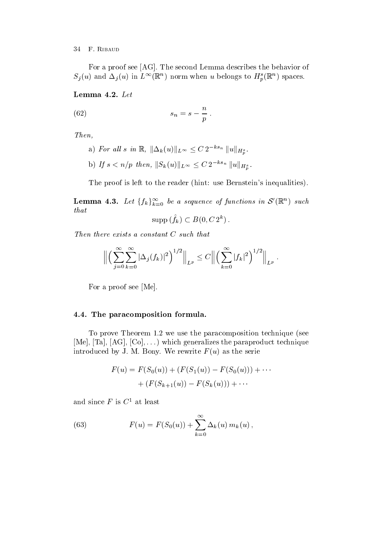For a proof see  $[AG]$ . The second Lemma describes the behavior of  $S_j(u)$  and  $\Delta_j(u)$  in  $L^{\infty}(\mathbb{R}^n)$  horm when u belongs to  $H_p^{\infty}(\mathbb{R}^n)$  spaces.

(62) 
$$
s_n = s - \frac{n}{p}.
$$

Then

a) For all s in  $\mathbb{R}$ ,  $\|\Delta_k(u)\|_{L^{\infty}} \leq C 2^{-ks_n} \|u\|_{H_p^s}$ . b) If  $s < n/p$  then,  $||S_k(u)||_{L^{\infty}} \leq C 2^{-ks_n} ||u||_{H_p^s}$ .

The proof is left to the reader (hint: use Bernstein's inequalities).

**Lemma 4.3.** Let  $\{f_k\}_{k=0}^{\infty}$  be a sequence of functions in  $\mathcal{S}'(\mathbb{R}^n)$  such that

$$
\mathrm{supp} \, (\hat{f}_k) \subset B(0,C\, 2^k) \, .
$$

Then there exists a constant C such that

$$
\Big\| \Big( \sum_{j=0}^{\infty} \sum_{k=0}^{\infty} |\Delta_j(f_k)|^2 \Big)^{1/2} \Big\|_{L^p} \leq C \Big\| \Big( \sum_{k=0}^{\infty} |f_k|^2 \Big)^{1/2} \Big\|_{L^p}.
$$

For a proof see [Me].

# -- The paracomposition formula-

To prove Theorem we use the paracomposition technique see re and the parallel of the parameters of the parameters the parameters the parameter of the parameters of the p introduced by J. M. Bony. We rewrite  $F(u)$  as the serie

$$
F(u) = F(S_0(u)) + (F(S_1(u)) - F(S_0(u))) + \cdots
$$
  
+  $(F(S_{k+1}(u)) - F(S_k(u))) + \cdots$ 

and since F is  $C^1$  at least

(63) 
$$
F(u) = F(S_0(u)) + \sum_{k=0}^{\infty} \Delta_k(u) m_k(u),
$$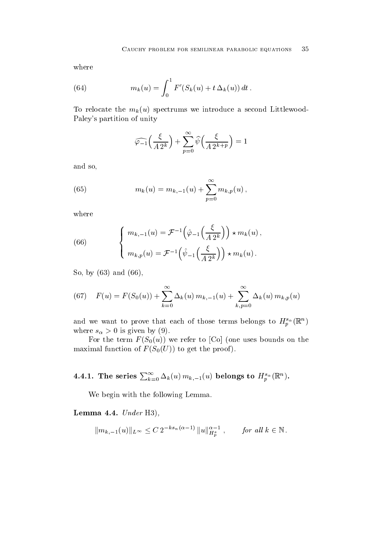where

(64) 
$$
m_k(u) = \int_0^1 F'(S_k(u) + t \Delta_k(u)) dt.
$$

To relocate the  $m_k(u)$  spectrums we introduce a second Littlewood-Paley's partition of unity

$$
\widehat{\varphi_{-1}}\Big(\frac{\xi}{A\ 2^k}\Big)+\sum_{p=0}^\infty \widehat{\psi}\Big(\frac{\xi}{A\ 2^{k+p}}\Big)=1
$$

and so

(65) 
$$
m_k(u) = m_{k,-1}(u) + \sum_{p=0}^{\infty} m_{k,p}(u),
$$

where

(66) 
$$
\begin{cases} m_{k,-1}(u) = \mathcal{F}^{-1}\left(\hat{\varphi}_{-1}\left(\frac{\xi}{A2^k}\right)\right) \star m_k(u), \\ m_{k,p}(u) = \mathcal{F}^{-1}\left(\hat{\psi}_{-1}\left(\frac{\xi}{A2^k}\right)\right) \star m_k(u). \end{cases}
$$

So, by  $(63)$  and  $(66)$ ,

(67) 
$$
F(u) = F(S_0(u)) + \sum_{k=0}^{\infty} \Delta_k(u) m_{k,-1}(u) + \sum_{k,p=0}^{\infty} \Delta_k(u) m_{k,p}(u)
$$

and we want to prove that each of those terms belongs to  $H_p^{n}(\mathbb{R}^n)$ where s-array is given by  $\alpha$ 

For the term  $F(S_0(u))$  we refer to [Co] (one uses bounds on the maximal function of  $F(S_0(U))$  to get the proof).

4.4.1. The series  $\sum_{k=0}^{\infty} \Delta_k(u) \, m_{k,-1}(u)$  belongs to  $H^{s_\alpha}_p(\mathbb{R}^n)$ .

We begin with the following Lemma

Lemma -- Under H

$$
||m_{k,-1}(u)||_{L^{\infty}} \leq C 2^{-ks_n(\alpha-1)} ||u||_{H^{s}_{p}}^{\alpha-1}, \quad \text{for all } k \in \mathbb{N}.
$$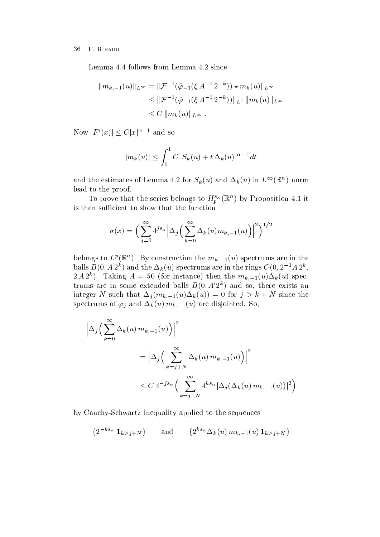Lemma 4.4 follows from Lemma 4.2 since

$$
||m_{k,-1}(u)||_{L^{\infty}} = ||\mathcal{F}^{-1}(\hat{\varphi}_{-1}(\xi A^{-1} 2^{-k})) \star m_{k}(u)||_{L^{\infty}}
$$
  
\n
$$
\leq ||\mathcal{F}^{-1}(\hat{\varphi}_{-1}(\xi A^{-1} 2^{-k}))||_{L^{1}} ||m_{k}(u)||_{L^{\infty}}
$$
  
\n
$$
\leq C ||m_{k}(u)||_{L^{\infty}}.
$$

Now  $|F'(x)| \leq C |x|^{\alpha-1}$  and so

$$
|m_k(u)| \leq \int_0^1 C |S_k(u) + t \Delta_k(u)|^{\alpha - 1} dt
$$

and the estimates of Lemma 4.2 for  $S_k(u)$  and  $\Delta_k(u)$  in  $L^{++}(\mathbb{R}^+)$  norm lead to the proof

To prove that the series belongs to  $H_n^{\alpha}(\mathbb{R})$  by Proposition 4.1 it is then sufficient to show that the function

$$
\sigma(x) = \Big(\sum_{j=0}^{\infty} 4^{js_{\alpha}} \Big|\Delta_j \Big(\sum_{k=0}^{\infty} \Delta_k(u) m_{k,-1}(u)\Big)\Big|^2\Big)^{1/2}
$$

belongs to  $L^p(\mathbb{R}^n)$ . By construction the  $m_{k-1}(u)$  spectrums are in the balls  $B(0, A Z^*)$  and the  $\Delta_k(u)$  spectrums are in the rings  $C(0, Z^* A Z^*)$ ,  $Z A Z^*$ ). Taking  $A = 00$  (for instance) then the  $m_{k=1}(u)\Delta_k(u)$  spectrums are in some extended bans  $D(0, A|Z^*)$  and so, there exists an integer and integrating the such that  $\mathbf{v}_i$  is the such that  $\mathbf{v}_i$  is the such that  $\mathbf{v}_i$ spectrums of  $\varphi_j$  and  $\Delta_k(u)$   $m_{k-1}(u)$  are disjointed. So,

$$
\left| \Delta_j \left( \sum_{k=0}^{\infty} \Delta_k(u) m_{k,-1}(u) \right) \right|^2
$$
  
=  $\left| \Delta_j \left( \sum_{k=j+N}^{\infty} \Delta_k(u) m_{k,-1}(u) \right) \right|^2$   
 $\leq C 4^{-js_\alpha} \left( \sum_{k=j+N}^{\infty} 4^{ks_\alpha} |\Delta_j(\Delta_k(u) m_{k,-1}(u))|^2 \right)$ 

by Cauchy-Schwartz inequality applied to the sequences

$$
\{2^{-ks_{\alpha}}\mathbf{1}_{k\geq j+N}\}\qquad \text{and}\qquad \{2^{ks_{\alpha}}\Delta_{k}(u)\,m_{k,-1}(u)\,\mathbf{1}_{k\geq j+N}\}
$$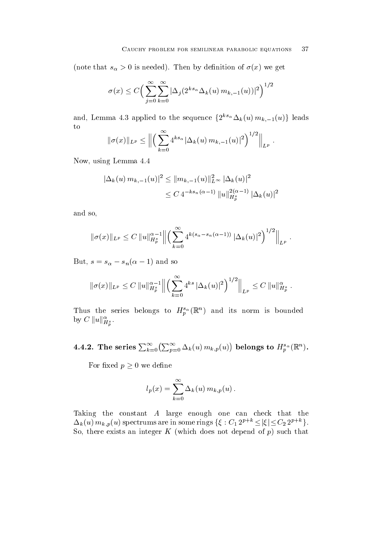$\mathbf u$  is the set of  $\mathbf u$  is neglected that  $\mathbf u$  is neglected the  $\mathbf u$ 

$$
\sigma(x) \le C \Big( \sum_{j=0}^{\infty} \sum_{k=0}^{\infty} |\Delta_j(2^{ks_{\alpha}} \Delta_k(u) m_{k,-1}(u))|^2 \Big)^{1/2}
$$

and, Lemma 4.3 applied to the sequence  $\{2^{ks_{\alpha}}\Delta_k(u)\,m_{k,-1}(u)\}$  leads to  $\alpha$ 

$$
\|\sigma(x)\|_{L^p} \le \left\| \left( \sum_{k=0}^{\infty} 4^{ks_{\alpha}} |\Delta_k(u) m_{k,-1}(u)|^2 \right)^{1/2} \right\|_{L^p}.
$$

Now, using Lemma 4.4

$$
\begin{aligned} |\Delta_k(u) \, m_{k,-1}(u)|^2 &\leq \|m_{k,-1}(u)\|_{L^\infty}^2 |\Delta_k(u)|^2 \\ &\leq C \, 4^{-ks_n(\alpha-1)} \, \|u\|_{H^{s}_{p}}^{2(\alpha-1)} |\Delta_k(u)|^2 \end{aligned}
$$

and so

$$
\|\sigma(x)\|_{L^p} \leq C \|u\|_{H_p^s}^{\alpha-1} \Big\| \Big( \sum_{k=0}^{\infty} 4^{k(s_{\alpha}-s_n(\alpha-1))} |\Delta_k(u)|^2 \Big)^{1/2} \Big\|_{L^p}.
$$

But,  $s = s_0 - s_n$   $\alpha - 1$  and so

$$
\|\sigma(x)\|_{L^p} \leq C \|u\|_{H_p^s}^{\alpha-1} \Big\| \Big(\sum_{k=0}^{\infty} 4^{ks} |\Delta_k(u)|^2\Big)^{1/2} \Big\|_{L^p} \leq C \|u\|_{H_p^s}^{\alpha} .
$$

Thus the series belongs to  $H_p^{\alpha}(\mathbb{R})$  and its norm is bounded by  $C \|u\|_{H_p^s}^{\alpha}$ .

4.4.2. The series  $\sum_{k=0}^\infty\bigl(\sum_{n=0}^\infty\Delta_k(u)\,m_{k,\,p}(u)\bigr)$  belongs to  $H^{s_\alpha}_p({\mathbb R}^n)$ .

For fixed  $p \geq 0$  we define

$$
l_p(x) = \sum_{k=0}^{\infty} \Delta_k(u) m_{k,p}(u).
$$

Taking the constant A large enough one can check that the  $\Delta_k(u) m_{k,p}(u)$  spectrums are in some rings  $\{\xi : C_1 2^{p+k} \leq |\xi| \leq C_2 2^{p+k}\}.$ So, there exists an integer  $K$  (which does not depend of  $p$ ) such that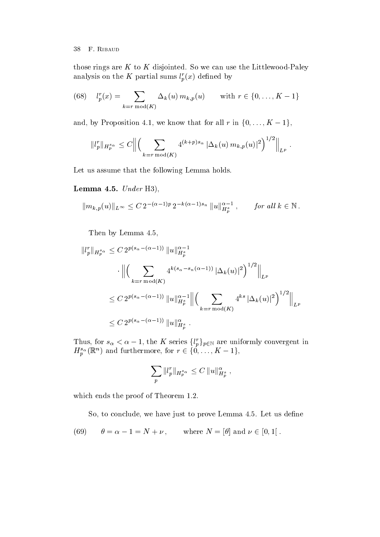those rings are K to K disjointed So we can use the Littlewood-Paley analysis on the K partial sums  $l_p^r(x)$  defined by

(68) 
$$
l_p^r(x) = \sum_{k=r \bmod(K)} \Delta_k(u) m_{k,p}(u) \quad \text{with } r \in \{0, ..., K-1\}
$$

and, by Proposition 4.1, we know that for all r in  $\{0, \ldots, K-1\}$ ,

$$
||l_p^r||_{H_p^{s_\alpha}} \leq C \Big\| \Big( \sum_{k=r \bmod(K)} 4^{(k+p)s_\alpha} |\Delta_k(u) m_{k,p}(u)|^2 \Big)^{1/2} \Big\|_{L^p}.
$$

Let us assume that the following Lemma holds.

# Lemma -- Under H

$$
||m_{k,p}(u)||_{L^{\infty}} \leq C 2^{-(\alpha-1)p} 2^{-k(\alpha-1)s_n} ||u||_{H_p^s}^{\alpha-1}, \quad \text{for all } k \in \mathbb{N}.
$$

Then by Lemma 4.5,

$$
||l_p^r||_{H_p^{s_\alpha}} \le C 2^{p(s_\alpha - (\alpha - 1))} ||u||_{H_p^s}^{\alpha - 1}
$$
  

$$
\cdot ||\left(\sum_{k=r \bmod(K)} 4^{k(s_\alpha - s_n(\alpha - 1))} |\Delta_k(u)|^2\right)^{1/2}||_{L^p}
$$
  

$$
\le C 2^{p(s_\alpha - (\alpha - 1))} ||u||_{H_p^s}^{\alpha - 1} ||\left(\sum_{k=r \bmod(K)} 4^{ks} |\Delta_k(u)|^2\right)^{1/2}||_{L^p}
$$
  

$$
\le C 2^{p(s_\alpha - (\alpha - 1))} ||u||_{H_p^s}^{\alpha}.
$$

Thus, for  $s_{\alpha} < \alpha - 1$ , the K series  $\{l_p^r\}_{p \in \mathbb{N}}$  are uniformly convergent in  $H^{s_{\alpha}}_{n}(\mathbb{R}^{n})$  and furthermore, for  $r \in \{0,\ldots,K-1\},$ 

$$
\sum_p \|l_p^r\|_{H_p^{s_\alpha}} \leq C \|u\|_{H_p^{s}}^{\alpha} ,
$$

where the proof of Theorem the proof of Theorem and Theorem

So, to conclude, we have just to prove Lemma 4.5. Let us define

(69) 
$$
\theta = \alpha - 1 = N + \nu, \quad \text{where } N = [\theta] \text{ and } \nu \in [0, 1].
$$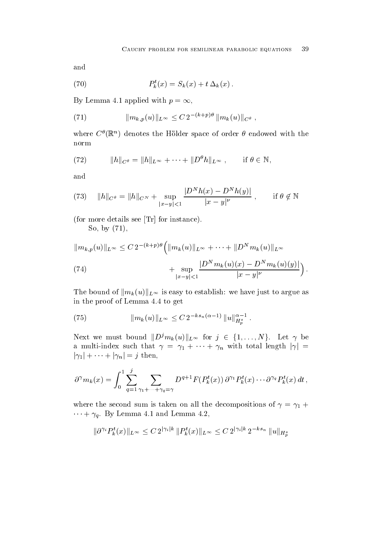and

(70) 
$$
P_k^t(x) = S_k(x) + t \Delta_k(x).
$$

By Lemma 4.1 applied with  $p = \infty$ ,

(71) 
$$
\|m_{k,p}(u)\|_{L^{\infty}} \leq C 2^{-(k+p)\theta} \|m_k(u)\|_{C^{\theta}},
$$

where  $C^*(\mathbb{R}^n)$  denotes the Holder space of order  $\sigma$  endowed with the norm

(72) 
$$
||h||_{C^{\theta}} = ||h||_{L^{\infty}} + \cdots + ||D^{\theta}h||_{L^{\infty}}, \quad \text{if } \theta \in \mathbb{N},
$$

and

(73) 
$$
||h||_{C^{\theta}} = ||h||_{C^N} + \sup_{|x-y|<1} \frac{|D^N h(x) - D^N h(y)|}{|x-y|^{\nu}}, \quad \text{if } \theta \notin \mathbb{N}
$$

(for more details see  $\text{Tr}$  for instance).

So by

$$
||m_{k,p}(u)||_{L^{\infty}} \leq C 2^{-(k+p)\theta} \left( ||m_k(u)||_{L^{\infty}} + \dots + ||D^N m_k(u)||_{L^{\infty}} + \sup_{|x-y| < 1} \frac{|D^N m_k(u)(x) - D^N m_k(u)(y)|}{|x-y|^{\nu}} \right).
$$
\n(74)

The bound of  $\|m_k(u)\|_{L^\infty}$  is easy to establish: we have just to argue as in the proof of Lemma 4.4 to get

(75) 
$$
||m_k(u)||_{L^{\infty}} \leq C 2^{-ks_n(\alpha-1)} ||u||_{H_p^s}^{\alpha-1}.
$$

Next we must bound  $||D^j m_k(u)||_{L^\infty}$  for  $j \in \{1, \ldots, N\}$ . Let  $\gamma$  be a multi-index such that  $\gamma = \gamma_1 + \cdots + \gamma_n$  with total length  $|\gamma| =$  $|\gamma_1| + \cdots + |\gamma_n| = j$  then,

$$
\partial^{\gamma} m_k(x) = \int_0^1 \sum_{q=1}^j \sum_{\gamma_1 + \dots + \gamma_q = \gamma} D^{q+1} F(P_k^t(x)) \, \partial^{\gamma_1} P_k^t(x) \cdots \partial^{\gamma_q} P_k^t(x) \, dt \,,
$$

where the second sum is taken on all the decompositions of  $\gamma = \gamma_1 + \gamma_2$  $\cdots + \gamma_a$ . By Lemma 4.1 and Lemma 4.2,

$$
\|\partial^{\gamma_i} P_k^t(x)\|_{L^\infty} \le C 2^{|\gamma_i| k} \|P_k^t(x)\|_{L^\infty} \le C 2^{|\gamma_i| k} 2^{-k s_n} \|u\|_{H^s_p}
$$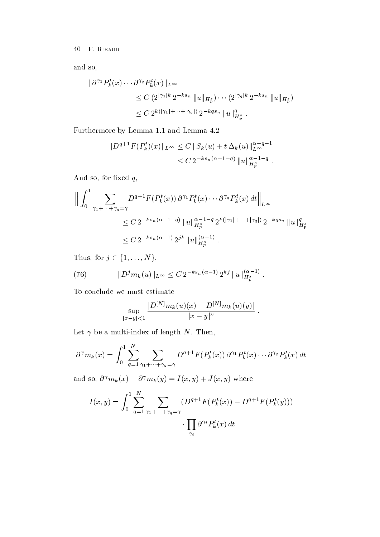and so

$$
\|\partial^{\gamma_1} P_k^t(x) \cdots \partial^{\gamma_q} P_k^t(x)\|_{L^\infty} \n\leq C \left( 2^{|\gamma_1| k} 2^{-k s_n} \|u\|_{H_p^s} \right) \cdots \left( 2^{|\gamma_q| k} 2^{-k s_n} \|u\|_{H_p^s} \right) \n\leq C 2^{k(|\gamma_1| + \cdots + |\gamma_q|)} 2^{-k q s_n} \|u\|_{H_p^s}^q.
$$

Furthermore, the contract of the contract of the contract of the contract of the contract of the contract of the contract of the contract of the contract of the contract of the contract of the contract of the contract of t

$$
||D^{q+1}F(P_k^t)(x)||_{L^{\infty}} \leq C ||S_k(u) + t \Delta_k(u)||_{L^{\infty}}^{\alpha - q - 1}
$$
  
 
$$
\leq C 2^{-ks_n(\alpha - 1 - q)} ||u||_{H^s_p}^{\alpha - 1 - q}.
$$

And so, for fixed  $q$ ,

$$
\left\| \int_{0}^{1} \sum_{\gamma_{1} + \dots + \gamma_{q} = \gamma} D^{q+1} F(P_{k}^{t}(x)) \, \partial^{\gamma_{1}} P_{k}^{t}(x) \cdots \partial^{\gamma_{q}} P_{k}^{t}(x) \, dt \right\|_{L^{\infty}} \leq C \, 2^{-ks_{n}(\alpha - 1 - q)} \, \|u\|_{H_{p}^{s}}^{\alpha - 1 - q} \, 2^{k(|\gamma_{1}| + \dots + |\gamma_{q}|)} \, 2^{-kqs_{n}} \, \|u\|_{H_{p}^{s}}^{q} \leq C \, 2^{-ks_{n}(\alpha - 1)} \, 2^{jk} \, \|u\|_{H_{p}^{s}}^{(\alpha - 1)}.
$$

Thus, for  $j \in \{1, \ldots, N\},\$ 

(76) 
$$
||D^j m_k(u)||_{L^{\infty}} \leq C 2^{-ks_n(\alpha-1)} 2^{kj} ||u||_{H_p^s}^{(\alpha-1)}.
$$

To conclude we must estimate

$$
\sup_{|x-y|<1}\frac{|D^{[N]}m_k(u)(x)-D^{[N]}m_k(u)(y)|}{|x-y|^\nu}.
$$

 $\ddot{\phantom{a}}$ 

Let be a multi-index of length N Then

$$
\partial^{\gamma} m_k(x) = \int_0^1 \sum_{q=1}^N \sum_{\gamma_1 + \dots + \gamma_q = \gamma} D^{q+1} F(P_k^t(x)) \, \partial^{\gamma_1} P_k^t(x) \cdots \partial^{\gamma_q} P_k^t(x) \, dt
$$

and so,  $\sigma^{r} m_k(x) - \sigma^{r} m_k(y) = I(x, y) + J(x, y)$  where

$$
I(x,y) = \int_0^1 \sum_{q=1}^N \sum_{\gamma_1 + \dots + \gamma_q = \gamma} \left( D^{q+1} F(P_k^t(x)) - D^{q+1} F(P_k^t(y)) \right)
$$

$$
\cdot \prod_{\gamma_i} \partial^{\gamma_i} P_k^t(x) dt
$$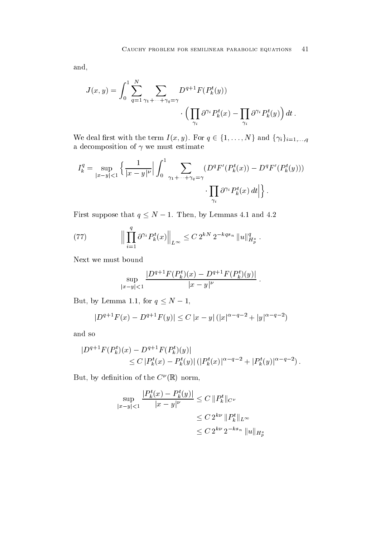and

$$
J(x,y) = \int_0^1 \sum_{q=1}^N \sum_{\gamma_1 + \dots + \gamma_q = \gamma} D^{q+1} F(P_k^t(y))
$$

$$
\cdot \left( \prod_{\gamma_i} \partial^{\gamma_i} P_k^t(x) - \prod_{\gamma_i} \partial^{\gamma_i} P_k^t(y) \right) dt.
$$

We deal first with the term  $I(x, y)$ . For  $q \in \{1, ..., N\}$  and  $\{\gamma_i\}_{i=1,...,q}$ a decomposition of  $\gamma$  we must estimate

$$
I_k^q = \sup_{|x-y| < 1} \left\{ \frac{1}{|x-y|^\nu} \Big| \int_0^1 \sum_{\gamma_1 + \dots + \gamma_q = \gamma} (D^q F'(P_k^t(x)) - D^q F'(P_k^t(y))) \right\}.
$$
\n
$$
\prod_{\gamma_i} \partial^{\gamma_i} P_k^t(x) \, dt \Big| \bigg\} \, .
$$

First suppose that  $q \leq N-1$ . Then, by Lemmas 4.1 and 4.2

(77) 
$$
\left\| \prod_{i=1}^q \partial^{\gamma_i} P_k^t(x) \right\|_{L^\infty} \leq C 2^{kN} 2^{-kqs_n} \|u\|_{H_p^s}^q.
$$

Next we must bound

$$
\sup_{|x-y|<1}\frac{|D^{q+1}F(P_k^t)(x)-D^{q+1}F(P_k^t)(y)|}{|x-y|^\nu}\;.
$$

But, by Lemma 1.1, for  $q \leq N-1$ ,

$$
|D^{q+1}F(x) - D^{q+1}F(y)| \le C |x - y| (|x|^{\alpha - q - 2} + |y|^{\alpha - q - 2})
$$

and so

$$
|D^{q+1}F(P_k^t)(x) - D^{q+1}F(P_k^t)(y)|
$$
  
\n
$$
\leq C |P_k^t(x) - P_k^t(y)| (|P_k^t(x)|^{\alpha - q - 2} + |P_k^t(y)|^{\alpha - q - 2}).
$$

 $_{\rm{Dul.}}$  by demittion of the  $\rm{C}$  (K) norm,

$$
\sup_{|x-y|<1} \frac{|P_k^t(x) - P_k^t(y)|}{|x-y|^\nu} \le C \|P_k^t\|_{C^\nu}
$$
  

$$
\le C 2^{k\nu} \|P_k^t\|_{L^\infty}
$$
  

$$
\le C 2^{k\nu} 2^{-ks_n} \|u\|_{H_p^s}
$$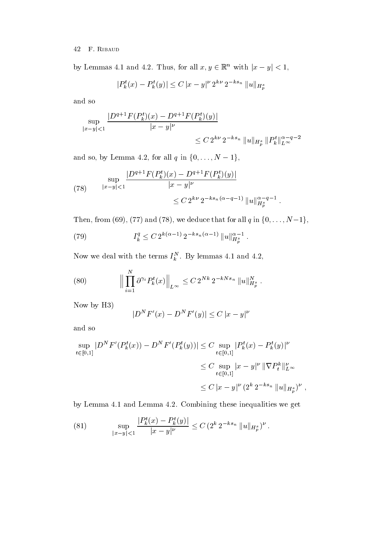by Lemmas 4.1 and 4.2. Thus, for all  $x, y \in \mathbb{R}^n$  with  $|x - y| < 1$ ,

$$
|P_k^t(x) - P_k^t(y)| \le C |x - y|^{\nu} 2^{k\nu} 2^{-ks_n} ||u||_{H_p^s}
$$

and so

$$
\sup_{|x-y|<1} \frac{|D^{q+1}F(P_k^t)(x) - D^{q+1}F(P_k^t)(y)|}{|x-y|^\nu}
$$
  

$$
\leq C 2^{k\nu} 2^{-ks_n} ||u||_{H_p^s} ||P_k^t||_{L^\infty}^{\alpha-q-2}
$$

and so, by Lemma 4.2, for all  $q$  in  $\{0, \ldots, N-1\},\$ 

(78) 
$$
\sup_{|x-y|<1} \frac{|D^{q+1}F(P_k^t)(x) - D^{q+1}F(P_k^t)(y)|}{|x-y|^\nu} \leq C 2^{k\nu} 2^{-ks_n(\alpha-q-1)} \|u\|_{H_p^s}^{\alpha-q-1}.
$$

Then, from (69), (77) and (78), we deduce that for all  $q$  in  $\{0,\ldots,N\!-\!1\},$ 

(79) 
$$
I_k^q \le C 2^{k(\alpha-1)} 2^{-ks_n(\alpha-1)} \|u\|_{H_p^s}^{\alpha-1}.
$$

Now we deal with the terms  $I_k$  . By lemmas 4.1 and 4.2,

(80) 
$$
\Big\| \prod_{i=1}^N \partial^{\gamma_i} P_k^t(x) \Big\|_{L^\infty} \leq C 2^{Nk} 2^{-kNs_n} \|u\|_{H_p^s}^N.
$$

Now by H<sub>3</sub>)

$$
|D^{N}F'(x) - D^{N}F'(y)| \le C |x - y|^{\nu}
$$

and so

$$
\sup_{t \in [0,1]} |D^N F'(P_k^t(x)) - D^N F'(P_k^t(y))| \le C \sup_{t \in [0,1]} |P_k^t(x) - P_k^t(y)|^{\nu}
$$
  

$$
\le C \sup_{t \in [0,1]} |x - y|^{\nu} ||\nabla P_k^k||_{L^{\infty}}^{\nu}
$$
  

$$
\le C |x - y|^{\nu} (2^k 2^{-ks_n} ||u||_{H_p^s})^{\nu},
$$

 $\,$ 

 $\alpha$  , component in the component of  $\alpha$  in  $\alpha$  in  $\alpha$  in  $\alpha$  in  $\alpha$  in  $\alpha$  in  $\alpha$  in  $\alpha$ 

(81) 
$$
\sup_{|x-y|<1} \frac{|P_k^t(x) - P_k^t(y)|}{|x-y|^\nu} \le C \left( 2^k 2^{-ks_n} \|u\|_{H_p^s} \right)^\nu.
$$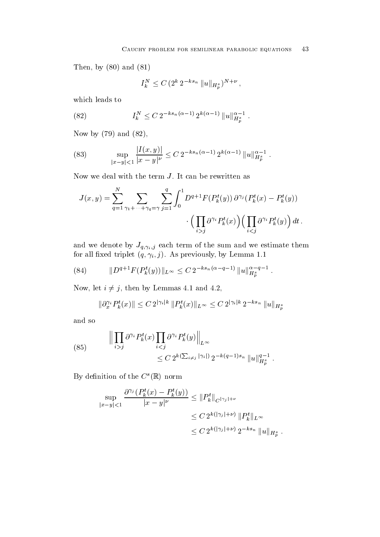Then by an and the property of the property of  $\mathcal{F}$ 

$$
I_k^N \leq C \, (2^k \, 2^{-k s_n} \, \|u\|_{H_p^s})^{N+\nu} \,,
$$

which leads to

(82) 
$$
I_k^N \leq C 2^{-ks_n(\alpha-1)} 2^{k(\alpha-1)} \|u\|_{H_p^s}^{\alpha-1}.
$$

Now by  $(79)$  and  $(82)$ ,

(83) 
$$
\sup_{|x-y|<1} \frac{|I(x,y)|}{|x-y|^{\nu}} \leq C 2^{-ks_n(\alpha-1)} 2^{k(\alpha-1)} \|u\|_{H_p^s}^{\alpha-1}.
$$

Now we deal with the term  $J$ . It can be rewritten as

$$
J(x,y) = \sum_{q=1}^{N} \sum_{\gamma_1 + \dots + \gamma_q = \gamma} \sum_{j=1}^{q} \int_0^1 D^{q+1} F(P_k^t(y)) \, \partial^{\gamma_j} (P_k^t(x) - P_k^t(y))
$$

$$
\cdot \Big( \prod_{i > j} \partial^{\gamma_i} P_k^t(x) \Big) \Big( \prod_{i < j} \partial^{\gamma_i} P_k^t(y) \Big) \, dt \, .
$$

 $\mathcal{A} = \mathbf{q}, \mu, \mathbf{j}$ for all triplet all  $\{f\}$  is a previously by Lemma  $\{f\}$  and  $\{f\}$  and  $\{f\}$  and  $\{f\}$  and  $\{f\}$ 

(84) 
$$
||D^{q+1}F(P_k^t(y))||_{L^{\infty}} \leq C 2^{-ks_n(\alpha-q-1)} ||u||_{H_p^s}^{\alpha-q-1}.
$$

Now, let  $i \neq j$ , then by Lemmas 4.1 and 4.2,

$$
\|\partial_x^{\gamma_i} P_k^t(x)\| \le C 2^{|\gamma_i| k} \|P_k^t(x)\|_{L^\infty} \le C 2^{|\gamma_i| k} 2^{-k s_n} \|u\|_{H_p^s}
$$

and so

(85) 
$$
\left\| \prod_{i > j} \partial^{\gamma_i} P_k^t(x) \prod_{i < j} \partial^{\gamma_i} P_k^t(y) \right\|_{L^{\infty}} \leq C 2^{k(\sum_{i \neq j} |\gamma_i|)} 2^{-k(q-1)s_n} \|u\|_{H_p^s}^{q-1}.
$$

By definition of the  $C^s(\mathbb{R})$  norm

$$
\sup_{|x-y|<1} \frac{\partial^{\gamma_j} (P_k^t(x) - P_k^t(y))}{|x-y|^{\nu}} \leq ||P_k^t||_{C^{|\gamma_j|+\nu}} \n\leq C 2^{k(|\gamma_j|+\nu)} ||P_k^t||_{L^{\infty}} \n\leq C 2^{k(|\gamma_j|+\nu)} 2^{-ks_n} ||u||_{H_p^s}.
$$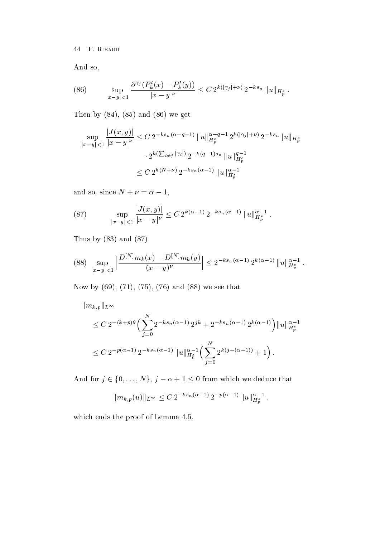F Ribaud

And so

(86) 
$$
\sup_{|x-y|<1} \frac{\partial^{\gamma_j} (P_k^t(x) - P_k^t(y))}{|x-y|^{\nu}} \leq C 2^{k(|\gamma_j|+\nu)} 2^{-ks_n} \|u\|_{H_p^s}.
$$

Then by  $(84)$ ,  $(85)$  and  $(86)$  we get

$$
\sup_{|x-y|<1} \frac{|J(x,y)|}{|x-y|^{\nu}} \le C 2^{-ks_n(\alpha-q-1)} \|u\|_{H_p^s}^{\alpha-q-1} 2^{k(|\gamma_j|+\nu)} 2^{-ks_n} \|u\|_{H_p^s}
$$

$$
\cdot 2^{k(\sum_{i\neq j}|\gamma_i|)} 2^{-k(q-1)s_n} \|u\|_{H_p^s}^{q-1}
$$

$$
\le C 2^{k(N+\nu)} 2^{-ks_n(\alpha-1)} \|u\|_{H_p^s}^{\alpha-1}
$$

and so, since  $N + \nu = \alpha - 1$ ,

(87) 
$$
\sup_{|x-y|<1} \frac{|J(x,y)|}{|x-y|^\nu} \leq C 2^{k(\alpha-1)} 2^{-ks_n(\alpha-1)} \|u\|_{H_p^s}^{\alpha-1}.
$$

Thus by  $(83)$  and  $(87)$ 

$$
(88)\sup_{|x-y|<1}\left|\frac{D^{[N]}m_k(x)-D^{[N]}m_k(y)}{(x-y)^{\nu}}\right|\leq 2^{-ks_n(\alpha-1)}2^{k(\alpha-1)}\|u\|_{H_p^s}^{\alpha-1}.
$$

now by the set of the set of the seed the seed to be a set of the set of the set of the set of the set of the s

$$
||m_{k,p}||_{L^{\infty}}\leq C 2^{-(k+p)\theta} \Big(\sum_{j=0}^{N} 2^{-ks_n(\alpha-1)} 2^{jk} + 2^{-ks_n(\alpha-1)} 2^{k(\alpha-1)}\Big)||u||_{H_p^s}^{\alpha-1}
$$
  

$$
\leq C 2^{-p(\alpha-1)} 2^{-ks_n(\alpha-1)} ||u||_{H_p^s}^{\alpha-1} \Big(\sum_{j=0}^{N} 2^{k(j-(\alpha-1))} + 1\Big).
$$

And for  $j \in \{0, ..., N\}, j - \alpha + 1 \leq 0$  from which we deduce that

$$
||m_{k,p}(u)||_{L^{\infty}} \leq C 2^{-ks_n(\alpha-1)} 2^{-p(\alpha-1)} ||u||_{H_p^s}^{\alpha-1},
$$

which ends the proof of Lemma 4.5.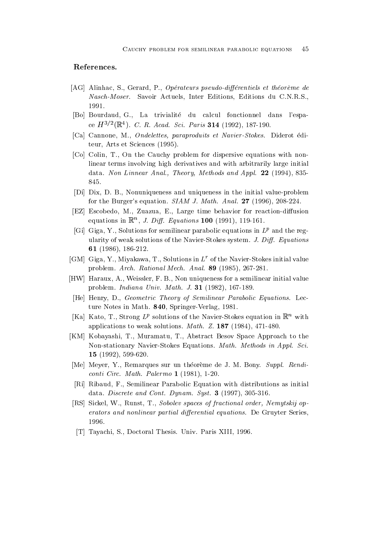# References-

- AG Alinhac S Gerard P Op-erateurs pseudodi-erentiels et th-eoreme de Nasch-Moser. Savoir Actuels, Inter Editions, Editions du C.N.R.S., 1991.
- [Bo] Bourdaud, G., La trivialité du calcul fonctionnel dans l'espace  $\Pi$ <sup>- $\prime$ -(K, ). U. K. Acad. Sci. Paris 514 (1992), 187-190.</sup>
- [Ca] Cannone, M., Ondelettes, paraproduits et Navier-Stokes. Diderot éditeur, Arts et Sciences (1995).
- [Co] Colin, T., On the Cauchy problem for dispersive equations with nonlinear terms involving high derivatives and with arbitrarily large initial data. Non Linnear Anal., Theory, Methods and Appl.  $22$  (1994), 835 845.
- [Di] Dix, D. B., Nonuniqueness and uniqueness in the initial value-problem for the Burgers equation SIAM J Math Anal 
- --
- [EZ] Escobedo, M., Zuazua, E., Large time behavior for reaction-diffusion equations in  $\mathbb{R}^n$ , J. Diff. Equations **TOO** (1991), 119-101.
- [Gi] Giga, Y., Solutions for semilinear parabolic equations in  $L^p$  and the regularity of weak solutions of the Navier-Stokes system. J. Diff. Equations - 
--
- [GM] Giga, Y., Miyakawa, T., Solutions in  $L^r$  of the Navier-Stokes initial value problem Arch Rational Mech Anal 
--
- [HW] Haraux, A., Weissler, F. B., Non uniqueness for a semilinear initial value problem in the  $\mathcal{L}$  -defined and  $\mathcal{L}$  -defined and  $\mathcal{L}$  -defined and  $\mathcal{L}$  -defined and  $\mathcal{L}$  -defined and  $\mathcal{L}$  -defined and  $\mathcal{L}$  -defined and  $\mathcal{L}$  -defined and  $\mathcal{L}$  -defined and  $\mathcal{L}$
- [He] Henry, D., Geometric Theory of Semilinear Parabolic Equations. Lecture Notes in Math. 840, Springer-Verlag, 1981.
- $|{\bf A}|$   ${\bf A}$  ato, 1., Strong  $L^2$  solutions of the Navier-Stokes equation in  ${\bf K}^*$  with applications to weak solutions and which is a solution of the solution
- [KM] Kobayashi, T., Muramatu, T., Abstract Besov Space Approach to the Non-stationary Navier-Stokes Equations. Math. Methods in Appl. Sci.  $\blacksquare$  . The state of the state of the state of the state of the state of the state of the state of the state of the state of the state of the state of the state of the state of the state of the state of the state of the
- [Me] Meyer, Y., Remarques sur un théorème de J. M. Bony. Suppl. Rendicontinued and continued as a continued of the palermonic continued and continued and continued and continued a
- [Ri] Ribaud, F., Semilinear Parabolic Equation with distributions as initial data Discrete and Control Dynamics Dynamics Press, 1986. In the Control Dynamics Control Dynamics Co
- [RS] Sickel, W., Runst, T., Sobolev spaces of fractional order, Nemytskij operators and nonlinear partial differential equations. De Gruyter Series 1996.
- [T] Tayachi, S., Doctoral Thesis. Univ. Paris XIII, 1996.